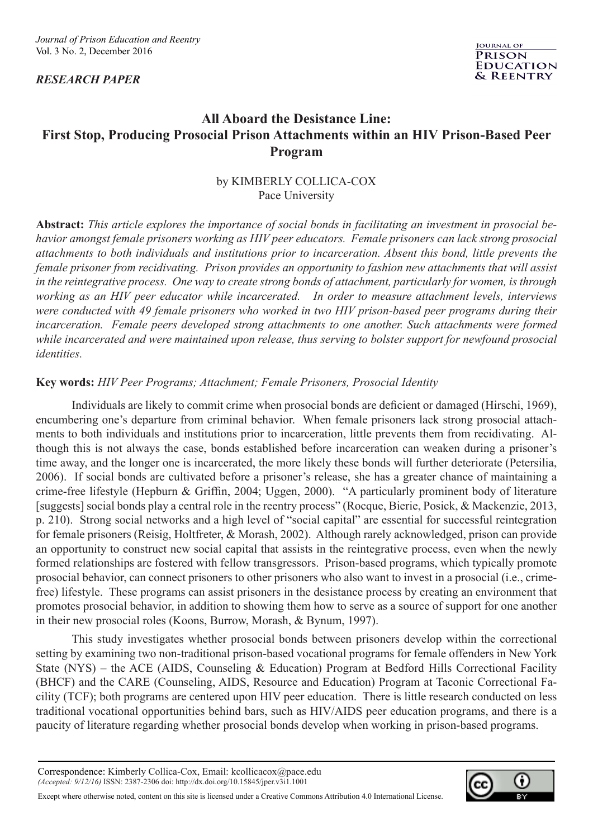*RESEARCH PAPER*



# **All Aboard the Desistance Line: First Stop, Producing Prosocial Prison Attachments within an HIV Prison-Based Peer Program**

# by KIMBERLY COLLICA-COX Pace University

**Abstract:** *This article explores the importance of social bonds in facilitating an investment in prosocial behavior amongst female prisoners working as HIV peer educators. Female prisoners can lack strong prosocial attachments to both individuals and institutions prior to incarceration. Absent this bond, little prevents the female prisoner from recidivating. Prison provides an opportunity to fashion new attachments that will assist in the reintegrative process. One way to create strong bonds of attachment, particularly for women, is through working as an HIV peer educator while incarcerated. In order to measure attachment levels, interviews were conducted with 49 female prisoners who worked in two HIV prison-based peer programs during their*  incarceration. Female peers developed strong attachments to one another. Such attachments were formed *while incarcerated and were maintained upon release, thus serving to bolster support for newfound prosocial identities.* 

# **Key words:** *HIV Peer Programs; Attachment; Female Prisoners, Prosocial Identity*

 Individuals are likely to commit crime when prosocial bonds are deficient or damaged (Hirschi, 1969), encumbering one's departure from criminal behavior. When female prisoners lack strong prosocial attachments to both individuals and institutions prior to incarceration, little prevents them from recidivating. Although this is not always the case, bonds established before incarceration can weaken during a prisoner's time away, and the longer one is incarcerated, the more likely these bonds will further deteriorate (Petersilia, 2006). If social bonds are cultivated before a prisoner's release, she has a greater chance of maintaining a crime-free lifestyle (Hepburn & Griffin, 2004; Uggen, 2000). "A particularly prominent body of literature [suggests] social bonds play a central role in the reentry process" (Rocque, Bierie, Posick, & Mackenzie, 2013, p. 210). Strong social networks and a high level of "social capital" are essential for successful reintegration for female prisoners (Reisig, Holtfreter, & Morash, 2002). Although rarely acknowledged, prison can provide an opportunity to construct new social capital that assists in the reintegrative process, even when the newly formed relationships are fostered with fellow transgressors. Prison-based programs, which typically promote prosocial behavior, can connect prisoners to other prisoners who also want to invest in a prosocial (i.e., crimefree) lifestyle. These programs can assist prisoners in the desistance process by creating an environment that promotes prosocial behavior, in addition to showing them how to serve as a source of support for one another in their new prosocial roles (Koons, Burrow, Morash, & Bynum, 1997).

 This study investigates whether prosocial bonds between prisoners develop within the correctional setting by examining two non-traditional prison-based vocational programs for female offenders in New York State (NYS) – the ACE (AIDS, Counseling & Education) Program at Bedford Hills Correctional Facility (BHCF) and the CARE (Counseling, AIDS, Resource and Education) Program at Taconic Correctional Facility (TCF); both programs are centered upon HIV peer education. There is little research conducted on less traditional vocational opportunities behind bars, such as HIV/AIDS peer education programs, and there is a paucity of literature regarding whether prosocial bonds develop when working in prison-based programs.

Correspondence: Kimberly Collica-Cox, Email: kcollicacox@pace.edu *(Accepted: 9/12/16)* ISSN: 2387-2306 doi: http://dx.doi.org/10.15845/jper.v3i1.1001



Except where otherwise noted, content on this site is licensed under a Creative Commons Attribution 4.0 International License.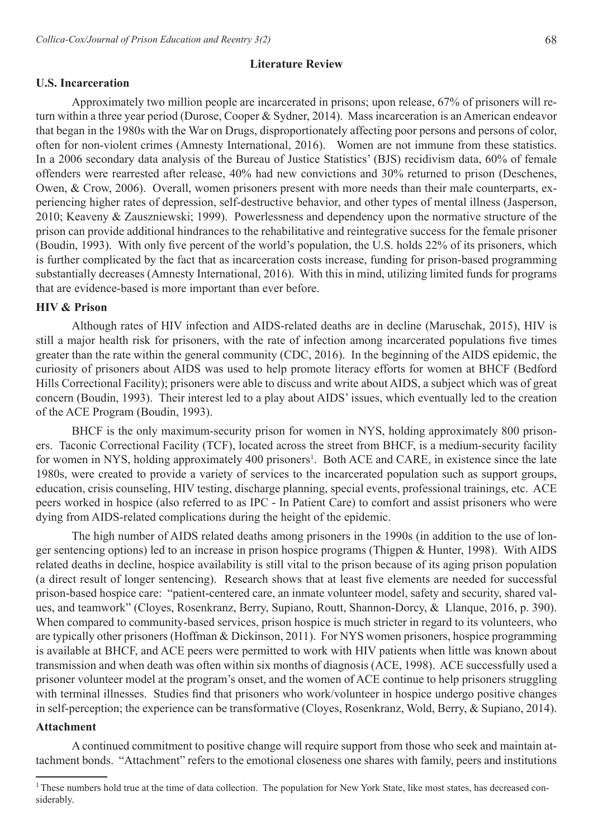#### **U.S. Incarceration**

 Approximately two million people are incarcerated in prisons; upon release, 67% of prisoners will return within a three year period (Durose, Cooper & Sydner, 2014). Mass incarceration is an American endeavor that began in the 1980s with the War on Drugs, disproportionately affecting poor persons and persons of color, often for non-violent crimes (Amnesty International, 2016). Women are not immune from these statistics. In a 2006 secondary data analysis of the Bureau of Justice Statistics' (BJS) recidivism data, 60% of female offenders were rearrested after release, 40% had new convictions and 30% returned to prison (Deschenes, Owen, & Crow, 2006). Overall, women prisoners present with more needs than their male counterparts, experiencing higher rates of depression, self-destructive behavior, and other types of mental illness (Jasperson, 2010; Keaveny & Zauszniewski; 1999). Powerlessness and dependency upon the normative structure of the prison can provide additional hindrances to the rehabilitative and reintegrative success for the female prisoner (Boudin, 1993). With only five percent of the world's population, the U.S. holds 22% of its prisoners, which is further complicated by the fact that as incarceration costs increase, funding for prison-based programming substantially decreases (Amnesty International, 2016). With this in mind, utilizing limited funds for programs that are evidence-based is more important than ever before.

#### **HIV & Prison**

 Although rates of HIV infection and AIDS-related deaths are in decline (Maruschak, 2015), HIV is still a major health risk for prisoners, with the rate of infection among incarcerated populations five times greater than the rate within the general community (CDC, 2016). In the beginning of the AIDS epidemic, the curiosity of prisoners about AIDS was used to help promote literacy efforts for women at BHCF (Bedford Hills Correctional Facility); prisoners were able to discuss and write about AIDS, a subject which was of great concern (Boudin, 1993). Their interest led to a play about AIDS' issues, which eventually led to the creation of the ACE Program (Boudin, 1993).

 BHCF is the only maximum-security prison for women in NYS, holding approximately 800 prisoners. Taconic Correctional Facility (TCF), located across the street from BHCF, is a medium-security facility for women in NYS, holding approximately 400 prisoners<sup>1</sup>. Both ACE and CARE, in existence since the late 1980s, were created to provide a variety of services to the incarcerated population such as support groups, education, crisis counseling, HIV testing, discharge planning, special events, professional trainings, etc. ACE peers worked in hospice (also referred to as IPC - In Patient Care) to comfort and assist prisoners who were dying from AIDS-related complications during the height of the epidemic.

 The high number of AIDS related deaths among prisoners in the 1990s (in addition to the use of longer sentencing options) led to an increase in prison hospice programs (Thigpen & Hunter, 1998). With AIDS related deaths in decline, hospice availability is still vital to the prison because of its aging prison population (a direct result of longer sentencing). Research shows that at least five elements are needed for successful prison-based hospice care: "patient-centered care, an inmate volunteer model, safety and security, shared values, and teamwork" (Cloyes, Rosenkranz, Berry, Supiano, Routt, Shannon-Dorcy, & Llanque, 2016, p. 390). When compared to community-based services, prison hospice is much stricter in regard to its volunteers, who are typically other prisoners (Hoffman & Dickinson, 2011). For NYS women prisoners, hospice programming is available at BHCF, and ACE peers were permitted to work with HIV patients when little was known about transmission and when death was often within six months of diagnosis (ACE, 1998). ACE successfully used a prisoner volunteer model at the program's onset, and the women of ACE continue to help prisoners struggling with terminal illnesses. Studies find that prisoners who work/volunteer in hospice undergo positive changes in self-perception; the experience can be transformative (Cloyes, Rosenkranz, Wold, Berry, & Supiano, 2014).

### **Attachment**

 A continued commitment to positive change will require support from those who seek and maintain attachment bonds. "Attachment" refers to the emotional closeness one shares with family, peers and institutions

<sup>&</sup>lt;sup>1</sup>These numbers hold true at the time of data collection. The population for New York State, like most states, has decreased considerably.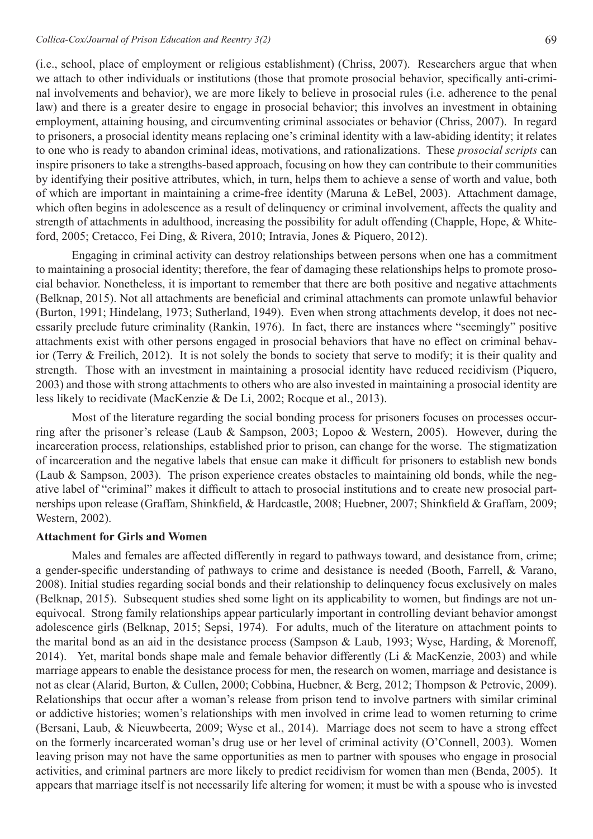(i.e., school, place of employment or religious establishment) (Chriss, 2007). Researchers argue that when we attach to other individuals or institutions (those that promote prosocial behavior, specifically anti-criminal involvements and behavior), we are more likely to believe in prosocial rules (i.e. adherence to the penal law) and there is a greater desire to engage in prosocial behavior; this involves an investment in obtaining employment, attaining housing, and circumventing criminal associates or behavior (Chriss, 2007). In regard to prisoners, a prosocial identity means replacing one's criminal identity with a law-abiding identity; it relates to one who is ready to abandon criminal ideas, motivations, and rationalizations. These *prosocial scripts* can inspire prisoners to take a strengths-based approach, focusing on how they can contribute to their communities by identifying their positive attributes, which, in turn, helps them to achieve a sense of worth and value, both of which are important in maintaining a crime-free identity (Maruna & LeBel, 2003). Attachment damage, which often begins in adolescence as a result of delinquency or criminal involvement, affects the quality and strength of attachments in adulthood, increasing the possibility for adult offending (Chapple, Hope, & Whiteford, 2005; Cretacco, Fei Ding, & Rivera, 2010; Intravia, Jones & Piquero, 2012).

Engaging in criminal activity can destroy relationships between persons when one has a commitment to maintaining a prosocial identity; therefore, the fear of damaging these relationships helps to promote prosocial behavior. Nonetheless, it is important to remember that there are both positive and negative attachments (Belknap, 2015). Not all attachments are beneficial and criminal attachments can promote unlawful behavior (Burton, 1991; Hindelang, 1973; Sutherland, 1949). Even when strong attachments develop, it does not necessarily preclude future criminality (Rankin, 1976). In fact, there are instances where "seemingly" positive attachments exist with other persons engaged in prosocial behaviors that have no effect on criminal behavior (Terry & Freilich, 2012). It is not solely the bonds to society that serve to modify; it is their quality and strength. Those with an investment in maintaining a prosocial identity have reduced recidivism (Piquero, 2003) and those with strong attachments to others who are also invested in maintaining a prosocial identity are less likely to recidivate (MacKenzie & De Li, 2002; Rocque et al., 2013).

Most of the literature regarding the social bonding process for prisoners focuses on processes occurring after the prisoner's release (Laub & Sampson, 2003; Lopoo & Western, 2005). However, during the incarceration process, relationships, established prior to prison, can change for the worse. The stigmatization of incarceration and the negative labels that ensue can make it difficult for prisoners to establish new bonds (Laub & Sampson, 2003). The prison experience creates obstacles to maintaining old bonds, while the negative label of "criminal" makes it difficult to attach to prosocial institutions and to create new prosocial partnerships upon release (Graffam, Shinkfield, & Hardcastle, 2008; Huebner, 2007; Shinkfield & Graffam, 2009; Western, 2002).

#### **Attachment for Girls and Women**

 Males and females are affected differently in regard to pathways toward, and desistance from, crime; a gender-specific understanding of pathways to crime and desistance is needed (Booth, Farrell, & Varano, 2008). Initial studies regarding social bonds and their relationship to delinquency focus exclusively on males (Belknap, 2015). Subsequent studies shed some light on its applicability to women, but findings are not unequivocal. Strong family relationships appear particularly important in controlling deviant behavior amongst adolescence girls (Belknap, 2015; Sepsi, 1974). For adults, much of the literature on attachment points to the marital bond as an aid in the desistance process (Sampson & Laub, 1993; Wyse, Harding, & Morenoff, 2014). Yet, marital bonds shape male and female behavior differently (Li & MacKenzie, 2003) and while marriage appears to enable the desistance process for men, the research on women, marriage and desistance is not as clear (Alarid, Burton, & Cullen, 2000; Cobbina, Huebner, & Berg, 2012; Thompson & Petrovic, 2009). Relationships that occur after a woman's release from prison tend to involve partners with similar criminal or addictive histories; women's relationships with men involved in crime lead to women returning to crime (Bersani, Laub, & Nieuwbeerta, 2009; Wyse et al., 2014). Marriage does not seem to have a strong effect on the formerly incarcerated woman's drug use or her level of criminal activity (O'Connell, 2003). Women leaving prison may not have the same opportunities as men to partner with spouses who engage in prosocial activities, and criminal partners are more likely to predict recidivism for women than men (Benda, 2005). It appears that marriage itself is not necessarily life altering for women; it must be with a spouse who is invested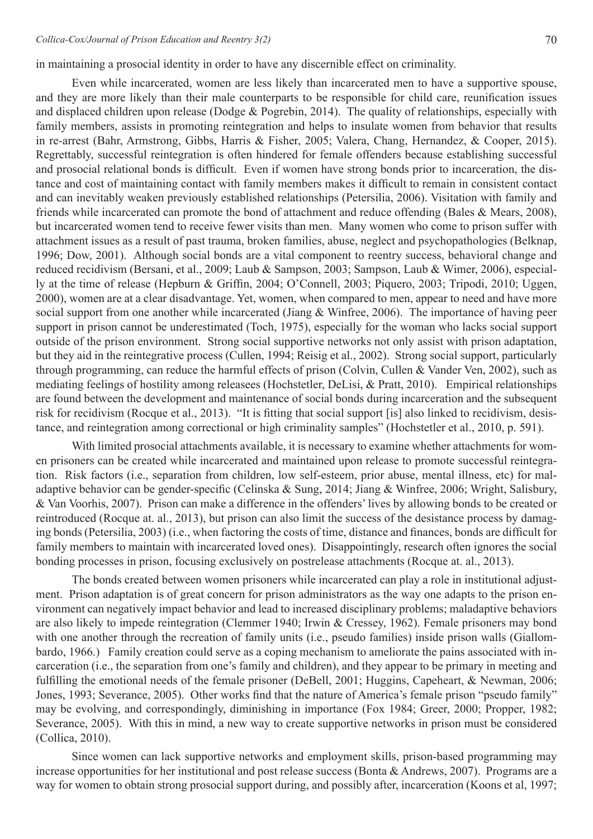in maintaining a prosocial identity in order to have any discernible effect on criminality.

Even while incarcerated, women are less likely than incarcerated men to have a supportive spouse, and they are more likely than their male counterparts to be responsible for child care, reunification issues and displaced children upon release (Dodge & Pogrebin, 2014). The quality of relationships, especially with family members, assists in promoting reintegration and helps to insulate women from behavior that results in re-arrest (Bahr, Armstrong, Gibbs, Harris & Fisher, 2005; Valera, Chang, Hernandez, & Cooper, 2015). Regrettably, successful reintegration is often hindered for female offenders because establishing successful and prosocial relational bonds is difficult. Even if women have strong bonds prior to incarceration, the distance and cost of maintaining contact with family members makes it difficult to remain in consistent contact and can inevitably weaken previously established relationships (Petersilia, 2006). Visitation with family and friends while incarcerated can promote the bond of attachment and reduce offending (Bales & Mears, 2008), but incarcerated women tend to receive fewer visits than men. Many women who come to prison suffer with attachment issues as a result of past trauma, broken families, abuse, neglect and psychopathologies (Belknap, 1996; Dow, 2001). Although social bonds are a vital component to reentry success, behavioral change and reduced recidivism (Bersani, et al., 2009; Laub & Sampson, 2003; Sampson, Laub & Wimer, 2006), especially at the time of release (Hepburn & Griffin, 2004; O'Connell, 2003; Piquero, 2003; Tripodi, 2010; Uggen, 2000), women are at a clear disadvantage. Yet, women, when compared to men, appear to need and have more social support from one another while incarcerated (Jiang & Winfree, 2006). The importance of having peer support in prison cannot be underestimated (Toch, 1975), especially for the woman who lacks social support outside of the prison environment. Strong social supportive networks not only assist with prison adaptation, but they aid in the reintegrative process (Cullen, 1994; Reisig et al., 2002). Strong social support, particularly through programming, can reduce the harmful effects of prison (Colvin, Cullen & Vander Ven, 2002), such as mediating feelings of hostility among releasees (Hochstetler, DeLisi, & Pratt, 2010). Empirical relationships are found between the development and maintenance of social bonds during incarceration and the subsequent risk for recidivism (Rocque et al., 2013). "It is fitting that social support [is] also linked to recidivism, desistance, and reintegration among correctional or high criminality samples" (Hochstetler et al., 2010, p. 591).

With limited prosocial attachments available, it is necessary to examine whether attachments for women prisoners can be created while incarcerated and maintained upon release to promote successful reintegration. Risk factors (i.e., separation from children, low self-esteem, prior abuse, mental illness, etc) for maladaptive behavior can be gender-specific (Celinska & Sung, 2014; Jiang & Winfree, 2006; Wright, Salisbury, & Van Voorhis, 2007). Prison can make a difference in the offenders'lives by allowing bonds to be created or reintroduced (Rocque at. al., 2013), but prison can also limit the success of the desistance process by damaging bonds (Petersilia, 2003) (i.e., when factoring the costs of time, distance and finances, bonds are difficult for family members to maintain with incarcerated loved ones). Disappointingly, research often ignores the social bonding processes in prison, focusing exclusively on postrelease attachments (Rocque at. al., 2013).

 The bonds created between women prisoners while incarcerated can play a role in institutional adjustment. Prison adaptation is of great concern for prison administrators as the way one adapts to the prison environment can negatively impact behavior and lead to increased disciplinary problems; maladaptive behaviors are also likely to impede reintegration (Clemmer 1940; Irwin & Cressey, 1962). Female prisoners may bond with one another through the recreation of family units (i.e., pseudo families) inside prison walls (Giallombardo, 1966.) Family creation could serve as a coping mechanism to ameliorate the pains associated with incarceration (i.e., the separation from one's family and children), and they appear to be primary in meeting and fulfilling the emotional needs of the female prisoner (DeBell, 2001; Huggins, Capeheart, & Newman, 2006; Jones, 1993; Severance, 2005). Other works find that the nature of America's female prison "pseudo family" may be evolving, and correspondingly, diminishing in importance (Fox 1984; Greer, 2000; Propper, 1982; Severance, 2005). With this in mind, a new way to create supportive networks in prison must be considered (Collica, 2010).

Since women can lack supportive networks and employment skills, prison-based programming may increase opportunities for her institutional and post release success (Bonta & Andrews, 2007). Programs are a way for women to obtain strong prosocial support during, and possibly after, incarceration (Koons et al, 1997;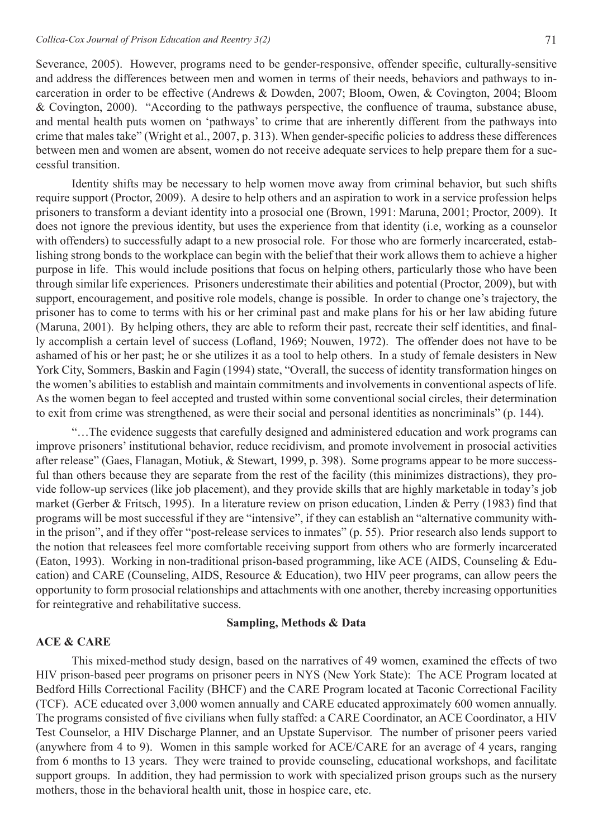Severance, 2005). However, programs need to be gender-responsive, offender specific, culturally-sensitive and address the differences between men and women in terms of their needs, behaviors and pathways to incarceration in order to be effective (Andrews & Dowden, 2007; Bloom, Owen, & Covington, 2004; Bloom & Covington, 2000). "According to the pathways perspective, the confluence of trauma, substance abuse, and mental health puts women on 'pathways' to crime that are inherently different from the pathways into crime that males take" (Wright et al., 2007, p. 313). When gender-specific policies to address these differences between men and women are absent, women do not receive adequate services to help prepare them for a successful transition.

Identity shifts may be necessary to help women move away from criminal behavior, but such shifts require support (Proctor, 2009). A desire to help others and an aspiration to work in a service profession helps prisoners to transform a deviant identity into a prosocial one (Brown, 1991: Maruna, 2001; Proctor, 2009). It does not ignore the previous identity, but uses the experience from that identity (i.e, working as a counselor with offenders) to successfully adapt to a new prosocial role. For those who are formerly incarcerated, establishing strong bonds to the workplace can begin with the belief that their work allows them to achieve a higher purpose in life. This would include positions that focus on helping others, particularly those who have been through similar life experiences. Prisoners underestimate their abilities and potential (Proctor, 2009), but with support, encouragement, and positive role models, change is possible. In order to change one's trajectory, the prisoner has to come to terms with his or her criminal past and make plans for his or her law abiding future (Maruna, 2001). By helping others, they are able to reform their past, recreate their self identities, and finally accomplish a certain level of success (Lofland, 1969; Nouwen, 1972). The offender does not have to be ashamed of his or her past; he or she utilizes it as a tool to help others. In a study of female desisters in New York City, Sommers, Baskin and Fagin (1994) state, "Overall, the success of identity transformation hinges on the women's abilities to establish and maintain commitments and involvements in conventional aspects of life. As the women began to feel accepted and trusted within some conventional social circles, their determination to exit from crime was strengthened, as were their social and personal identities as noncriminals" (p. 144).

 "…The evidence suggests that carefully designed and administered education and work programs can improve prisoners' institutional behavior, reduce recidivism, and promote involvement in prosocial activities after release" (Gaes, Flanagan, Motiuk, & Stewart, 1999, p. 398). Some programs appear to be more successful than others because they are separate from the rest of the facility (this minimizes distractions), they provide follow-up services (like job placement), and they provide skills that are highly marketable in today's job market (Gerber & Fritsch, 1995). In a literature review on prison education, Linden & Perry (1983) find that programs will be most successful if they are "intensive", if they can establish an "alternative community within the prison", and if they offer "post-release services to inmates" (p. 55). Prior research also lends support to the notion that releasees feel more comfortable receiving support from others who are formerly incarcerated (Eaton, 1993). Working in non-traditional prison-based programming, like ACE (AIDS, Counseling & Education) and CARE (Counseling, AIDS, Resource & Education), two HIV peer programs, can allow peers the opportunity to form prosocial relationships and attachments with one another, thereby increasing opportunities for reintegrative and rehabilitative success.

### **Sampling, Methods & Data**

#### **ACE & CARE**

 This mixed-method study design, based on the narratives of 49 women, examined the effects of two HIV prison-based peer programs on prisoner peers in NYS (New York State): The ACE Program located at Bedford Hills Correctional Facility (BHCF) and the CARE Program located at Taconic Correctional Facility (TCF). ACE educated over 3,000 women annually and CARE educated approximately 600 women annually. The programs consisted of five civilians when fully staffed: a CARE Coordinator, an ACE Coordinator, a HIV Test Counselor, a HIV Discharge Planner, and an Upstate Supervisor. The number of prisoner peers varied (anywhere from 4 to 9). Women in this sample worked for ACE/CARE for an average of 4 years, ranging from 6 months to 13 years. They were trained to provide counseling, educational workshops, and facilitate support groups. In addition, they had permission to work with specialized prison groups such as the nursery mothers, those in the behavioral health unit, those in hospice care, etc.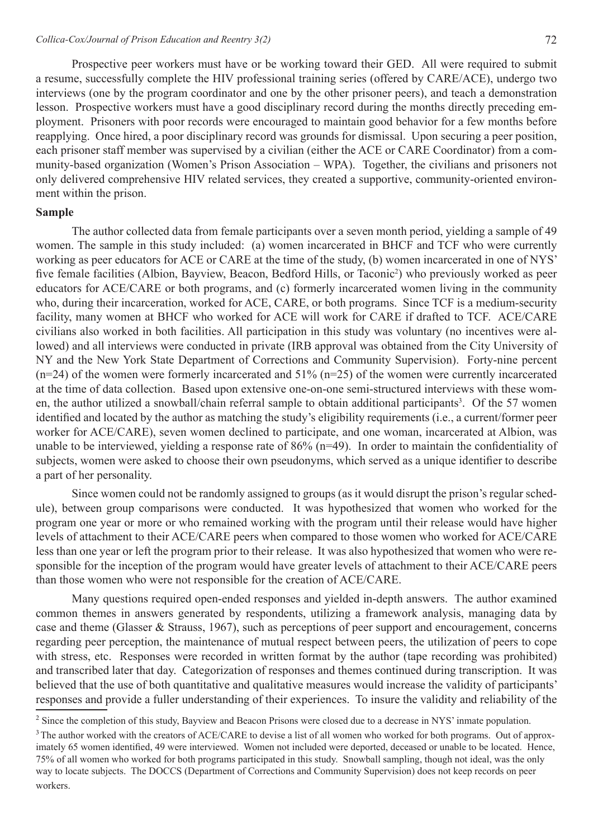Prospective peer workers must have or be working toward their GED. All were required to submit a resume, successfully complete the HIV professional training series (offered by CARE/ACE), undergo two interviews (one by the program coordinator and one by the other prisoner peers), and teach a demonstration lesson. Prospective workers must have a good disciplinary record during the months directly preceding employment. Prisoners with poor records were encouraged to maintain good behavior for a few months before reapplying. Once hired, a poor disciplinary record was grounds for dismissal. Upon securing a peer position, each prisoner staff member was supervised by a civilian (either the ACE or CARE Coordinator) from a community-based organization (Women's Prison Association – WPA). Together, the civilians and prisoners not only delivered comprehensive HIV related services, they created a supportive, community-oriented environment within the prison.

# **Sample**

 The author collected data from female participants over a seven month period, yielding a sample of 49 women. The sample in this study included: (a) women incarcerated in BHCF and TCF who were currently working as peer educators for ACE or CARE at the time of the study, (b) women incarcerated in one of NYS' five female facilities (Albion, Bayview, Beacon, Bedford Hills, or Taconic<sup>2</sup>) who previously worked as peer educators for ACE/CARE or both programs, and (c) formerly incarcerated women living in the community who, during their incarceration, worked for ACE, CARE, or both programs. Since TCF is a medium-security facility, many women at BHCF who worked for ACE will work for CARE if drafted to TCF. ACE/CARE civilians also worked in both facilities. All participation in this study was voluntary (no incentives were allowed) and all interviews were conducted in private (IRB approval was obtained from the City University of NY and the New York State Department of Corrections and Community Supervision). Forty-nine percent  $(n=24)$  of the women were formerly incarcerated and 51%  $(n=25)$  of the women were currently incarcerated at the time of data collection. Based upon extensive one-on-one semi-structured interviews with these women, the author utilized a snowball/chain referral sample to obtain additional participants<sup>3</sup>. Of the 57 women identified and located by the author as matching the study's eligibility requirements (i.e., a current/former peer worker for ACE/CARE), seven women declined to participate, and one woman, incarcerated at Albion, was unable to be interviewed, yielding a response rate of 86% (n=49). In order to maintain the confidentiality of subjects, women were asked to choose their own pseudonyms, which served as a unique identifier to describe a part of her personality.

 Since women could not be randomly assigned to groups (as it would disrupt the prison's regular schedule), between group comparisons were conducted. It was hypothesized that women who worked for the program one year or more or who remained working with the program until their release would have higher levels of attachment to their ACE/CARE peers when compared to those women who worked for ACE/CARE less than one year or left the program prior to their release. It was also hypothesized that women who were responsible for the inception of the program would have greater levels of attachment to their ACE/CARE peers than those women who were not responsible for the creation of ACE/CARE.

 Many questions required open-ended responses and yielded in-depth answers. The author examined common themes in answers generated by respondents, utilizing a framework analysis, managing data by case and theme (Glasser & Strauss, 1967), such as perceptions of peer support and encouragement, concerns regarding peer perception, the maintenance of mutual respect between peers, the utilization of peers to cope with stress, etc. Responses were recorded in written format by the author (tape recording was prohibited) and transcribed later that day. Categorization of responses and themes continued during transcription. It was believed that the use of both quantitative and qualitative measures would increase the validity of participants' responses and provide a fuller understanding of their experiences. To insure the validity and reliability of the

<sup>&</sup>lt;sup>2</sup> Since the completion of this study, Bayview and Beacon Prisons were closed due to a decrease in NYS' inmate population.

<sup>&</sup>lt;sup>3</sup>The author worked with the creators of ACE/CARE to devise a list of all women who worked for both programs. Out of approximately 65 women identified, 49 were interviewed. Women not included were deported, deceased or unable to be located. Hence, 75% of all women who worked for both programs participated in this study. Snowball sampling, though not ideal, was the only way to locate subjects. The DOCCS (Department of Corrections and Community Supervision) does not keep records on peer workers.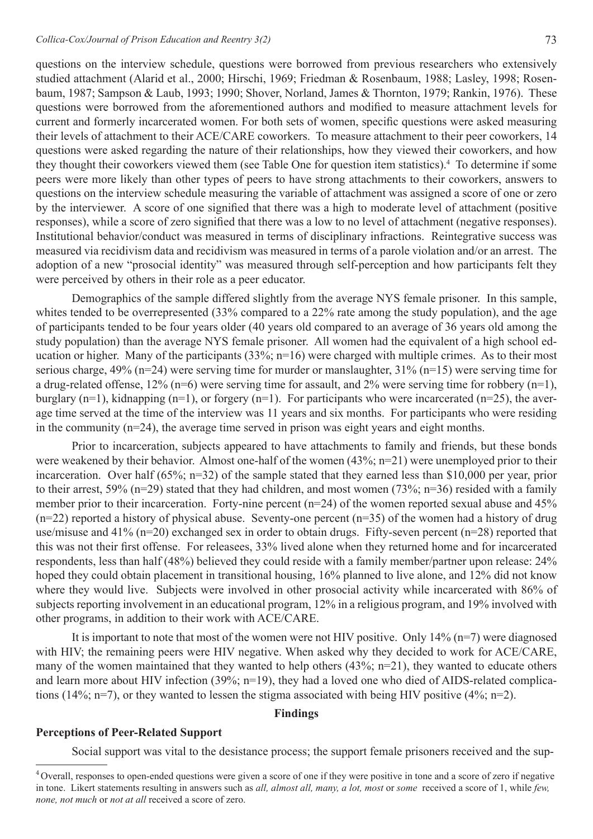questions on the interview schedule, questions were borrowed from previous researchers who extensively studied attachment (Alarid et al., 2000; Hirschi, 1969; Friedman & Rosenbaum, 1988; Lasley, 1998; Rosenbaum, 1987; Sampson & Laub, 1993; 1990; Shover, Norland, James & Thornton, 1979; Rankin, 1976). These questions were borrowed from the aforementioned authors and modified to measure attachment levels for current and formerly incarcerated women. For both sets of women, specific questions were asked measuring their levels of attachment to their ACE/CARE coworkers. To measure attachment to their peer coworkers, 14 questions were asked regarding the nature of their relationships, how they viewed their coworkers, and how they thought their coworkers viewed them (see Table One for question item statistics).<sup>4</sup> To determine if some peers were more likely than other types of peers to have strong attachments to their coworkers, answers to questions on the interview schedule measuring the variable of attachment was assigned a score of one or zero by the interviewer. A score of one signified that there was a high to moderate level of attachment (positive responses), while a score of zero signified that there was a low to no level of attachment (negative responses). Institutional behavior/conduct was measured in terms of disciplinary infractions. Reintegrative success was measured via recidivism data and recidivism was measured in terms of a parole violation and/or an arrest. The adoption of a new "prosocial identity" was measured through self-perception and how participants felt they were perceived by others in their role as a peer educator.

Demographics of the sample differed slightly from the average NYS female prisoner. In this sample, whites tended to be overrepresented (33% compared to a 22% rate among the study population), and the age of participants tended to be four years older (40 years old compared to an average of 36 years old among the study population) than the average NYS female prisoner. All women had the equivalent of a high school education or higher. Many of the participants (33%; n=16) were charged with multiple crimes. As to their most serious charge, 49% (n=24) were serving time for murder or manslaughter, 31% (n=15) were serving time for a drug-related offense, 12% (n=6) were serving time for assault, and 2% were serving time for robbery (n=1), burglary (n=1), kidnapping (n=1), or forgery (n=1). For participants who were incarcerated (n=25), the average time served at the time of the interview was 11 years and six months. For participants who were residing in the community  $(n=24)$ , the average time served in prison was eight years and eight months.

Prior to incarceration, subjects appeared to have attachments to family and friends, but these bonds were weakened by their behavior. Almost one-half of the women (43%; n=21) were unemployed prior to their incarceration. Over half (65%; n=32) of the sample stated that they earned less than \$10,000 per year, prior to their arrest, 59% (n=29) stated that they had children, and most women (73%; n=36) resided with a family member prior to their incarceration. Forty-nine percent (n=24) of the women reported sexual abuse and 45%  $(n=22)$  reported a history of physical abuse. Seventy-one percent  $(n=35)$  of the women had a history of drug use/misuse and 41% (n=20) exchanged sex in order to obtain drugs. Fifty-seven percent (n=28) reported that this was not their first offense. For releasees, 33% lived alone when they returned home and for incarcerated respondents, less than half (48%) believed they could reside with a family member/partner upon release: 24% hoped they could obtain placement in transitional housing, 16% planned to live alone, and 12% did not know where they would live. Subjects were involved in other prosocial activity while incarcerated with 86% of subjects reporting involvement in an educational program, 12% in a religious program, and 19% involved with other programs, in addition to their work with ACE/CARE.

 It is important to note that most of the women were not HIV positive. Only 14% (n=7) were diagnosed with HIV; the remaining peers were HIV negative. When asked why they decided to work for ACE/CARE, many of the women maintained that they wanted to help others (43%; n=21), they wanted to educate others and learn more about HIV infection (39%; n=19), they had a loved one who died of AIDS-related complications (14%; n=7), or they wanted to lessen the stigma associated with being HIV positive (4%; n=2).

#### **Findings**

#### **Perceptions of Peer-Related Support**

 Social support was vital to the desistance process; the support female prisoners received and the sup-

<sup>&</sup>lt;sup>4</sup> Overall, responses to open-ended questions were given a score of one if they were positive in tone and a score of zero if negative in tone. Likert statements resulting in answers such as *all, almost all, many, a lot, most* or *some* received a score of 1, while *few, none, not much* or *not at all* received a score of zero.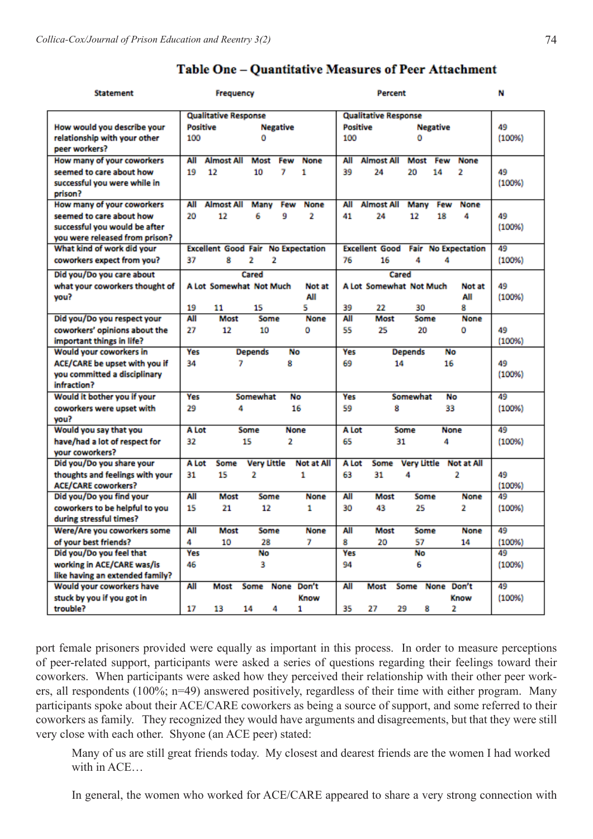| <b>Statement</b>                |                                                     | <b>Frequency</b>  |                    |      |                   |                                                        | Percent                     | N    |                    |                   |        |
|---------------------------------|-----------------------------------------------------|-------------------|--------------------|------|-------------------|--------------------------------------------------------|-----------------------------|------|--------------------|-------------------|--------|
|                                 | <b>Qualitative Response</b>                         |                   |                    |      |                   |                                                        | <b>Qualitative Response</b> |      |                    |                   |        |
| How would you describe your     | <b>Positive</b><br><b>Negative</b>                  |                   |                    |      |                   | <b>Positive</b><br><b>Negative</b>                     |                             |      |                    |                   | 49     |
| relationship with your other    | 100                                                 | ٥                 |                    |      |                   | 100<br>٥                                               |                             |      |                    |                   | (100%) |
| peer workers?                   |                                                     |                   |                    |      |                   |                                                        |                             |      |                    |                   |        |
| How many of your coworkers      | All                                                 | <b>Almost All</b> | Most               | Few  | None              | All                                                    | <b>Almost All</b>           | Most | Few                | None              |        |
| seemed to care about how        | 19                                                  | 12                | 10                 | 7    | 1                 | 39                                                     | 24                          | 20   | 14                 | 2                 | 49     |
| successful you were while in    |                                                     |                   |                    |      |                   |                                                        |                             |      |                    |                   | (100%) |
| prison?                         |                                                     |                   |                    |      |                   |                                                        |                             |      |                    |                   |        |
| How many of your coworkers      | All                                                 | <b>Almost All</b> | Many               | Few  | None              | All                                                    | <b>Almost All</b>           | Many | Few                | None              |        |
| seemed to care about how        | 20                                                  | 12                | 6                  | 9    | 2                 | 41                                                     | 24                          | 12   | 18                 | 4                 | 49     |
| successful you would be after   |                                                     |                   |                    |      |                   |                                                        |                             |      |                    |                   | (100%) |
| you were released from prison?  |                                                     |                   |                    |      |                   |                                                        |                             |      |                    |                   |        |
| What kind of work did your      | <b>Excellent Good Fair</b><br><b>No Expectation</b> |                   |                    |      |                   | <b>Excellent Good</b><br>Fair<br><b>No Expectation</b> |                             |      |                    |                   | 49     |
| coworkers expect from you?      | 37<br>8<br>2<br>2                                   |                   |                    |      |                   |                                                        | 16                          | 4    |                    | 4                 | (100%) |
|                                 |                                                     |                   |                    |      |                   | 76                                                     |                             |      |                    |                   |        |
| Did you/Do you care about       | Cared                                               |                   |                    |      |                   |                                                        | Cared                       |      |                    |                   |        |
| what your coworkers thought of  | <b>A Lot Somewhat Not Much</b><br>Not at            |                   |                    |      |                   |                                                        | A Lot Somewhat Not Much     | 49   |                    |                   |        |
| vou?                            |                                                     | All               |                    |      |                   |                                                        |                             |      |                    | All               | (100%) |
|                                 | 19                                                  | 11                | 15                 |      | s                 | 39                                                     | 22                          |      | 30                 | 8                 |        |
| Did you/Do you respect your     | ΑIΙ                                                 | Most              |                    | Some | None              | All                                                    | Most                        |      | Some               | None              |        |
| coworkers' opinions about the   | 27                                                  | 12<br>10          |                    |      | ٥                 | 55<br>25<br>20<br>٥                                    |                             |      |                    | 49                |        |
| important things in life?       |                                                     |                   |                    |      |                   |                                                        |                             |      |                    |                   | (100%) |
| Would your coworkers in         | Yes<br><b>Depends</b><br>No                         |                   |                    |      |                   | Yes<br><b>Depends</b><br>No                            |                             |      |                    |                   |        |
| ACE/CARE be upset with you if   | 34<br>7<br>8                                        |                   |                    |      |                   | 69<br>14<br>16                                         |                             |      |                    |                   | 49     |
| you committed a disciplinary    |                                                     |                   |                    |      |                   |                                                        |                             |      |                    | (100%)            |        |
| infraction?                     |                                                     |                   |                    |      |                   |                                                        |                             |      |                    |                   |        |
| Would it bother you if your     | Yes                                                 | Somewhat<br>No    |                    |      |                   | Yes<br>Somewhat<br>No                                  |                             |      |                    |                   | 49     |
| coworkers were upset with       | 29                                                  | 4<br>16           |                    |      |                   | 59<br>33<br>8                                          |                             |      |                    |                   | (100%) |
| you?                            |                                                     |                   |                    |      |                   |                                                        |                             |      |                    |                   |        |
| Would you say that you          | A Lot<br>Some<br><b>None</b>                        |                   |                    |      |                   | A Lot<br><b>None</b><br>Some                           |                             |      |                    |                   | 49     |
| have/had a lot of respect for   | 32<br>15<br>2                                       |                   |                    |      |                   | 65<br>31<br>4                                          |                             |      |                    |                   | (100%) |
| vour coworkers?                 |                                                     |                   |                    |      |                   |                                                        |                             |      |                    |                   |        |
| Did you/Do you share your       | A Lot                                               | Some              | <b>Very Little</b> |      | <b>Not at All</b> | A Lot                                                  | Some                        |      | <b>Very Little</b> | <b>Not at All</b> |        |
| thoughts and feelings with your | 31                                                  | 15                | 2                  |      | 1                 | 63                                                     | 31                          | 4    |                    | 2                 | 49     |
| <b>ACE/CARE coworkers?</b>      |                                                     |                   |                    |      |                   |                                                        |                             |      |                    |                   | (100%) |
| Did you/Do you find your        | All                                                 | Most              |                    | Some | None              | All                                                    | Most                        |      | Some               | None              | 49     |
| coworkers to be helpful to you  | 15                                                  | 21                | 12                 |      | 1                 | 30                                                     | 43                          | 25   |                    | 2                 | (100%) |
| during stressful times?         |                                                     |                   |                    |      |                   |                                                        |                             |      |                    |                   |        |
| Were/Are you coworkers some     | All                                                 | Most              |                    | Some | None              | All                                                    | Most                        |      | Some               | None              | 49     |
| of your best friends?           | 4                                                   | 10                | 28                 |      | 7                 | 8                                                      | 20                          | 57   |                    | 14                | (100%  |
| Did you/Do you feel that        | <b>Yes</b><br>No                                    |                   |                    |      |                   | Yes<br>No                                              |                             |      |                    |                   | 49     |
| working in ACE/CARE was/is      | 46<br>3                                             |                   |                    |      |                   | 94<br>6                                                |                             |      |                    |                   | (100%) |
| like having an extended family? |                                                     |                   |                    |      |                   |                                                        |                             |      |                    |                   |        |
| Would your coworkers have       | All                                                 | Most              |                    |      | Some None Don't   | All                                                    | Most                        |      |                    | Some None Don't   | 49     |
| stuck by you if you got in      |                                                     |                   |                    |      | Know              |                                                        |                             |      |                    | Know              | (100%  |
| trouble?                        | 17                                                  | 13                | 14                 | 4    | 1                 | 35                                                     | 27                          | 29   | 8                  | 2                 |        |

# Table One - Quantitative Measures of Peer Attachment

port female prisoners provided were equally as important in this process. In order to measure perceptions of peer-related support, participants were asked a series of questions regarding their feelings toward their coworkers. When participants were asked how they perceived their relationship with their other peer workers, all respondents (100%; n=49) answered positively, regardless of their time with either program. Many participants spoke about their ACE/CARE coworkers as being a source of support, and some referred to their coworkers as family. They recognized they would have arguments and disagreements, but that they were still very close with each other. Shyone (an ACE peer) stated:

Many of us are still great friends today. My closest and dearest friends are the women I had worked with in ACE

In general, the women who worked for ACE/CARE appeared to share a very strong connection with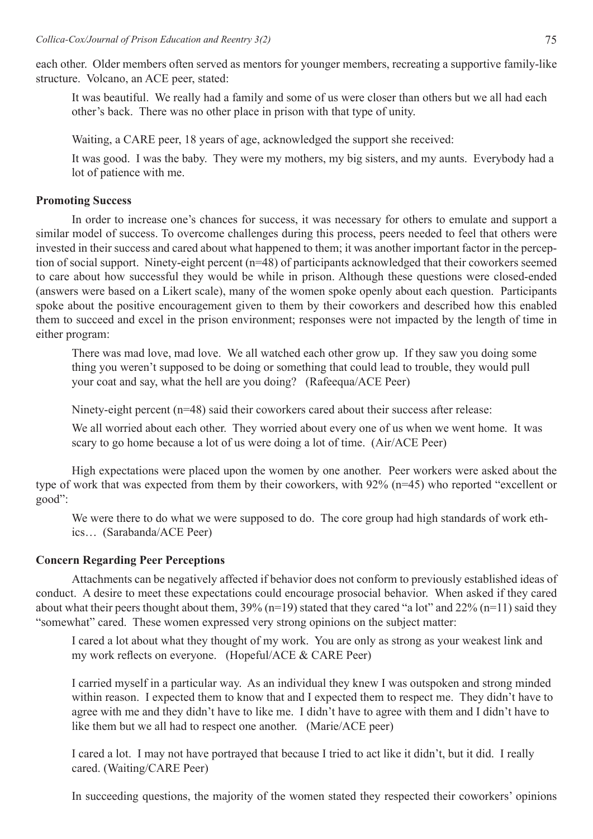each other. Older members often served as mentors for younger members, recreating a supportive family-like structure. Volcano, an ACE peer, stated:

It was beautiful. We really had a family and some of us were closer than others but we all had each other's back. There was no other place in prison with that type of unity.

Waiting, a CARE peer, 18 years of age, acknowledged the support she received:

 It was good. I was the baby. They were my mothers, my big sisters, and my aunts. Everybody had a lot of patience with me.

# **Promoting Success**

In order to increase one's chances for success, it was necessary for others to emulate and support a similar model of success. To overcome challenges during this process, peers needed to feel that others were invested in their success and cared about what happened to them; it was another important factor in the perception of social support. Ninety-eight percent (n=48) of participants acknowledged that their coworkers seemed to care about how successful they would be while in prison. Although these questions were closed-ended (answers were based on a Likert scale), many of the women spoke openly about each question. Participants spoke about the positive encouragement given to them by their coworkers and described how this enabled them to succeed and excel in the prison environment; responses were not impacted by the length of time in either program:

 There was mad love, mad love. We all watched each other grow up. If they saw you doing some thing you weren't supposed to be doing or something that could lead to trouble, they would pull your coat and say, what the hell are you doing? (Rafeequa/ACE Peer)

 Ninety-eight percent (n=48) said their coworkers cared about their success after release:

 We all worried about each other. They worried about every one of us when we went home. It was scary to go home because a lot of us were doing a lot of time. (Air/ACE Peer)

 High expectations were placed upon the women by one another. Peer workers were asked about the type of work that was expected from them by their coworkers, with 92% (n=45) who reported "excellent or good":

We were there to do what we were supposed to do. The core group had high standards of work eth- ics… (Sarabanda/ACE Peer)

# **Concern Regarding Peer Perceptions**

Attachments can be negatively affected if behavior does not conform to previously established ideas of conduct. A desire to meet these expectations could encourage prosocial behavior. When asked if they cared about what their peers thought about them,  $39\%$  (n=19) stated that they cared "a lot" and  $22\%$  (n=11) said they "somewhat" cared. These women expressed very strong opinions on the subject matter:

I cared a lot about what they thought of my work. You are only as strong as your weakest link and my work reflects on everyone. (Hopeful/ACE & CARE Peer)

I carried myself in a particular way. As an individual they knew I was outspoken and strong minded within reason. I expected them to know that and I expected them to respect me. They didn't have to agree with me and they didn't have to like me. I didn't have to agree with them and I didn't have to like them but we all had to respect one another. (Marie/ACE peer)

I cared a lot. I may not have portrayed that because I tried to act like it didn't, but it did. I really cared. (Waiting/CARE Peer)

 In succeeding questions, the majority of the women stated they respected their coworkers' opinions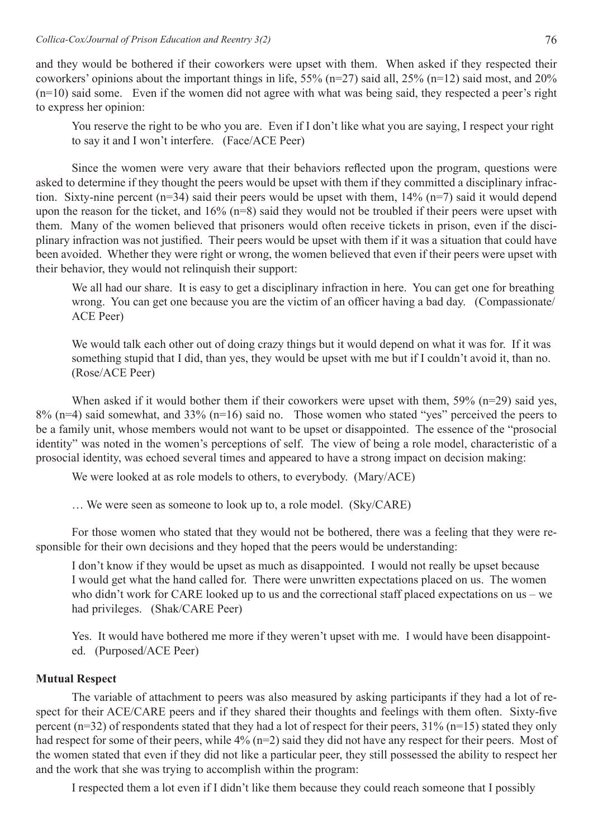and they would be bothered if their coworkers were upset with them. When asked if they respected their coworkers' opinions about the important things in life, 55% (n=27) said all, 25% (n=12) said most, and 20% (n=10) said some. Even if the women did not agree with what was being said, they respected a peer's right to express her opinion:

You reserve the right to be who you are. Even if I don't like what you are saying, I respect your right to say it and I won't interfere. (Face/ACE Peer)

 Since the women were very aware that their behaviors reflected upon the program, questions were asked to determine if they thought the peers would be upset with them if they committed a disciplinary infraction. Sixty-nine percent (n=34) said their peers would be upset with them, 14% (n=7) said it would depend upon the reason for the ticket, and 16% (n=8) said they would not be troubled if their peers were upset with them. Many of the women believed that prisoners would often receive tickets in prison, even if the disciplinary infraction was not justified. Their peers would be upset with them if it was a situation that could have been avoided. Whether they were right or wrong, the women believed that even if their peers were upset with their behavior, they would not relinquish their support:

We all had our share. It is easy to get a disciplinary infraction in here. You can get one for breathing wrong. You can get one because you are the victim of an officer having a bad day. (Compassionate/ ACE Peer)

We would talk each other out of doing crazy things but it would depend on what it was for. If it was something stupid that I did, than yes, they would be upset with me but if I couldn't avoid it, than no. (Rose/ACE Peer)

When asked if it would bother them if their coworkers were upset with them, 59% (n=29) said yes, 8% (n=4) said somewhat, and 33% (n=16) said no. Those women who stated "yes" perceived the peers to be a family unit, whose members would not want to be upset or disappointed. The essence of the "prosocial identity" was noted in the women's perceptions of self. The view of being a role model, characteristic of a prosocial identity, was echoed several times and appeared to have a strong impact on decision making:

We were looked at as role models to others, to everybody. (Mary/ACE)

 … We were seen as someone to look up to, a role model. (Sky/CARE)

 For those women who stated that they would not be bothered, there was a feeling that they were responsible for their own decisions and they hoped that the peers would be understanding:

I don't know if they would be upset as much as disappointed. I would not really be upset because I would get what the hand called for. There were unwritten expectations placed on us. The women who didn't work for CARE looked up to us and the correctional staff placed expectations on us – we had privileges. (Shak/CARE Peer)

Yes. It would have bothered me more if they weren't upset with me. I would have been disappoint- ed. (Purposed/ACE Peer)

# **Mutual Respect**

 The variable of attachment to peers was also measured by asking participants if they had a lot of respect for their ACE/CARE peers and if they shared their thoughts and feelings with them often. Sixty-five percent (n=32) of respondents stated that they had a lot of respect for their peers, 31% (n=15) stated they only had respect for some of their peers, while 4% (n=2) said they did not have any respect for their peers. Most of the women stated that even if they did not like a particular peer, they still possessed the ability to respect her and the work that she was trying to accomplish within the program:

I respected them a lot even if I didn't like them because they could reach someone that I possibly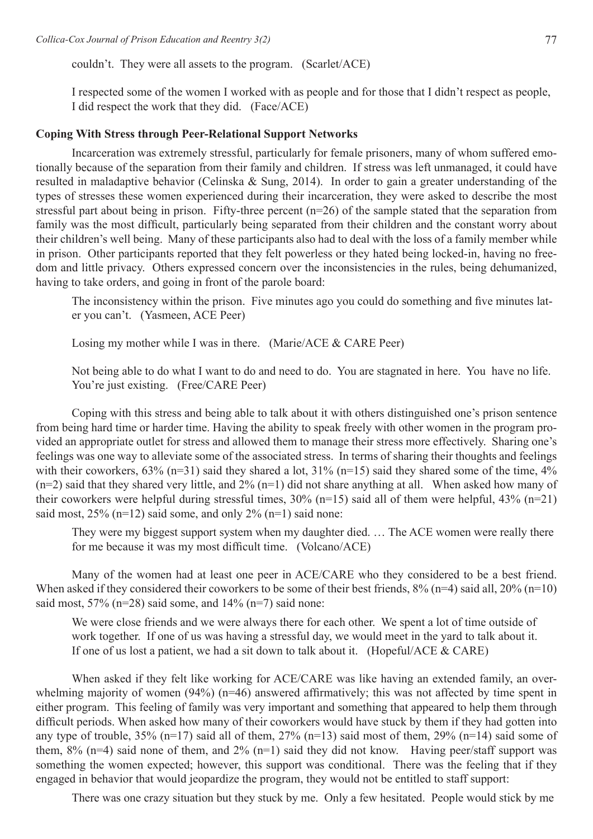couldn't. They were all assets to the program. (Scarlet/ACE)

I respected some of the women I worked with as people and for those that I didn't respect as people, I did respect the work that they did. (Face/ACE)

### **Coping With Stress through Peer-Relational Support Networks**

Incarceration was extremely stressful, particularly for female prisoners, many of whom suffered emotionally because of the separation from their family and children. If stress was left unmanaged, it could have resulted in maladaptive behavior (Celinska & Sung, 2014). In order to gain a greater understanding of the types of stresses these women experienced during their incarceration, they were asked to describe the most stressful part about being in prison. Fifty-three percent (n=26) of the sample stated that the separation from family was the most difficult, particularly being separated from their children and the constant worry about their children's well being. Many of these participants also had to deal with the loss of a family member while in prison. Other participants reported that they felt powerless or they hated being locked-in, having no freedom and little privacy. Others expressed concern over the inconsistencies in the rules, being dehumanized, having to take orders, and going in front of the parole board:

 The inconsistency within the prison. Five minutes ago you could do something and five minutes lat- er you can't. (Yasmeen, ACE Peer)

Losing my mother while I was in there. (Marie/ACE & CARE Peer)

Not being able to do what I want to do and need to do. You are stagnated in here. You have no life. You're just existing. (Free/CARE Peer)

Coping with this stress and being able to talk about it with others distinguished one's prison sentence from being hard time or harder time. Having the ability to speak freely with other women in the program provided an appropriate outlet for stress and allowed them to manage their stress more effectively. Sharing one's feelings was one way to alleviate some of the associated stress. In terms of sharing their thoughts and feelings with their coworkers,  $63\%$  (n=31) said they shared a lot,  $31\%$  (n=15) said they shared some of the time,  $4\%$  $(n=2)$  said that they shared very little, and  $2\%$   $(n=1)$  did not share anything at all. When asked how many of their coworkers were helpful during stressful times,  $30\%$  (n=15) said all of them were helpful,  $43\%$  (n=21) said most,  $25\%$  (n=12) said some, and only  $2\%$  (n=1) said none:

 They were my biggest support system when my daughter died. … The ACE women were really there for me because it was my most difficult time. (Volcano/ACE)

Many of the women had at least one peer in ACE/CARE who they considered to be a best friend. When asked if they considered their coworkers to be some of their best friends,  $8\%$  (n=4) said all,  $20\%$  (n=10) said most,  $57\%$  (n=28) said some, and  $14\%$  (n=7) said none:

We were close friends and we were always there for each other. We spent a lot of time outside of work together. If one of us was having a stressful day, we would meet in the yard to talk about it. If one of us lost a patient, we had a sit down to talk about it. (Hopeful/ACE & CARE)

When asked if they felt like working for ACE/CARE was like having an extended family, an overwhelming majority of women (94%) (n=46) answered affirmatively; this was not affected by time spent in either program. This feeling of family was very important and something that appeared to help them through difficult periods. When asked how many of their coworkers would have stuck by them if they had gotten into any type of trouble,  $35\%$  (n=17) said all of them,  $27\%$  (n=13) said most of them,  $29\%$  (n=14) said some of them,  $8\%$  (n=4) said none of them, and  $2\%$  (n=1) said they did not know. Having peer/staff support was something the women expected; however, this support was conditional. There was the feeling that if they engaged in behavior that would jeopardize the program, they would not be entitled to staff support:

 There was one crazy situation but they stuck by me. Only a few hesitated. People would stick by me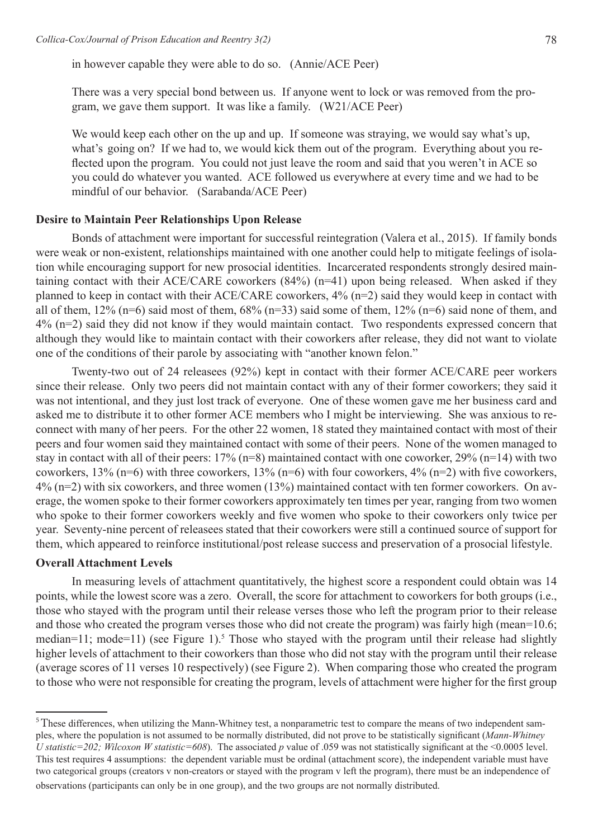in however capable they were able to do so. (Annie/ACE Peer)

 There was a very special bond between us. If anyone went to lock or was removed from the pro- gram, we gave them support. It was like a family. (W21/ACE Peer)

We would keep each other on the up and up. If someone was straying, we would say what's up, what's going on? If we had to, we would kick them out of the program. Everything about you re- flected upon the program. You could not just leave the room and said that you weren't in ACE so you could do whatever you wanted. ACE followed us everywhere at every time and we had to be mindful of our behavior. (Sarabanda/ACE Peer)

### **Desire to Maintain Peer Relationships Upon Release**

 Bonds of attachment were important for successful reintegration (Valera et al., 2015). If family bonds were weak or non-existent, relationships maintained with one another could help to mitigate feelings of isolation while encouraging support for new prosocial identities. Incarcerated respondents strongly desired maintaining contact with their ACE/CARE coworkers (84%) (n=41) upon being released. When asked if they planned to keep in contact with their ACE/CARE coworkers, 4% (n=2) said they would keep in contact with all of them,  $12\%$  (n=6) said most of them,  $68\%$  (n=33) said some of them,  $12\%$  (n=6) said none of them, and 4% (n=2) said they did not know if they would maintain contact. Two respondents expressed concern that although they would like to maintain contact with their coworkers after release, they did not want to violate one of the conditions of their parole by associating with "another known felon."

 Twenty-two out of 24 releasees (92%) kept in contact with their former ACE/CARE peer workers since their release. Only two peers did not maintain contact with any of their former coworkers; they said it was not intentional, and they just lost track of everyone. One of these women gave me her business card and asked me to distribute it to other former ACE members who I might be interviewing. She was anxious to reconnect with many of her peers. For the other 22 women, 18 stated they maintained contact with most of their peers and four women said they maintained contact with some of their peers. None of the women managed to stay in contact with all of their peers: 17% (n=8) maintained contact with one coworker, 29% (n=14) with two coworkers, 13% (n=6) with three coworkers, 13% (n=6) with four coworkers, 4% (n=2) with five coworkers, 4% (n=2) with six coworkers, and three women (13%) maintained contact with ten former coworkers. On average, the women spoke to their former coworkers approximately ten times per year, ranging from two women who spoke to their former coworkers weekly and five women who spoke to their coworkers only twice per year. Seventy-nine percent of releasees stated that their coworkers were still a continued source of support for them, which appeared to reinforce institutional/post release success and preservation of a prosocial lifestyle.

# **Overall Attachment Levels**

 In measuring levels of attachment quantitatively, the highest score a respondent could obtain was 14 points, while the lowest score was a zero. Overall, the score for attachment to coworkers for both groups (i.e., those who stayed with the program until their release verses those who left the program prior to their release and those who created the program verses those who did not create the program) was fairly high (mean=10.6; median=11; mode=11) (see Figure 1).<sup>5</sup> Those who stayed with the program until their release had slightly higher levels of attachment to their coworkers than those who did not stay with the program until their release (average scores of 11 verses 10 respectively) (see Figure 2). When comparing those who created the program to those who were not responsible for creating the program, levels of attachment were higher for the first group

<sup>&</sup>lt;sup>5</sup> These differences, when utilizing the Mann-Whitney test, a nonparametric test to compare the means of two independent samples, where the population is not assumed to be normally distributed, did not prove to be statistically significant (*Mann-Whitney U statistic=202; Wilcoxon W statistic=608*). The associated *p* value of .059 was not statistically significant at the <0.0005 level. This test requires 4 assumptions: the dependent variable must be ordinal (attachment score), the independent variable must have two categorical groups (creators v non-creators or stayed with the program v left the program), there must be an independence of observations (participants can only be in one group), and the two groups are not normally distributed.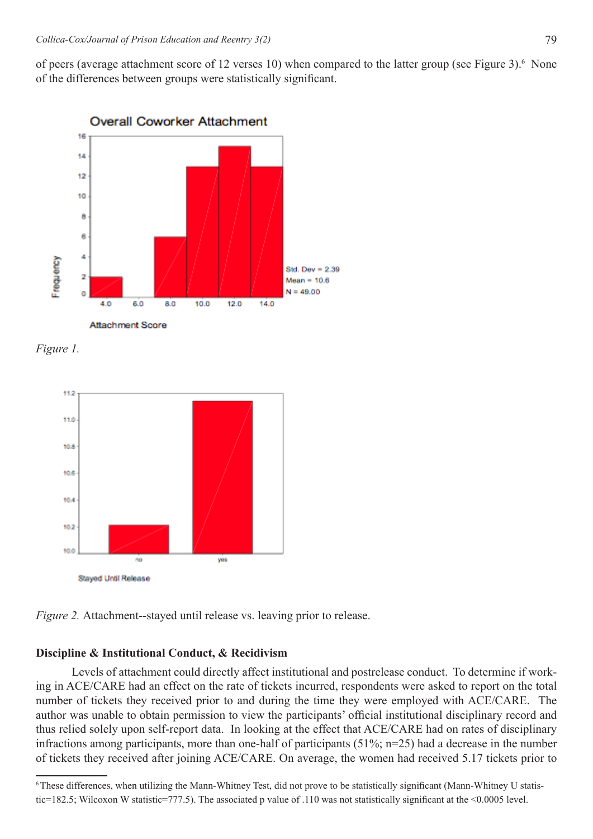of peers (average attachment score of 12 verses 10) when compared to the latter group (see Figure 3).<sup>6</sup> None of the differences between groups were statistically significant.



*Figure 1.*



*Figure 2.* Attachment--stayed until release vs. leaving prior to release.

### **Discipline & Institutional Conduct, & Recidivism**

 Levels of attachment could directly affect institutional and postrelease conduct. To determine if working in ACE/CARE had an effect on the rate of tickets incurred, respondents were asked to report on the total number of tickets they received prior to and during the time they were employed with ACE/CARE. The author was unable to obtain permission to view the participants' official institutional disciplinary record and thus relied solely upon self-report data. In looking at the effect that ACE/CARE had on rates of disciplinary infractions among participants, more than one-half of participants (51%; n=25) had a decrease in the number of tickets they received after joining ACE/CARE. On average, the women had received 5.17 tickets prior to

<sup>6</sup>These differences, when utilizing the Mann-Whitney Test, did not prove to be statistically significant (Mann-Whitney U statistic=182.5; Wilcoxon W statistic=777.5). The associated p value of .110 was not statistically significant at the <0.0005 level.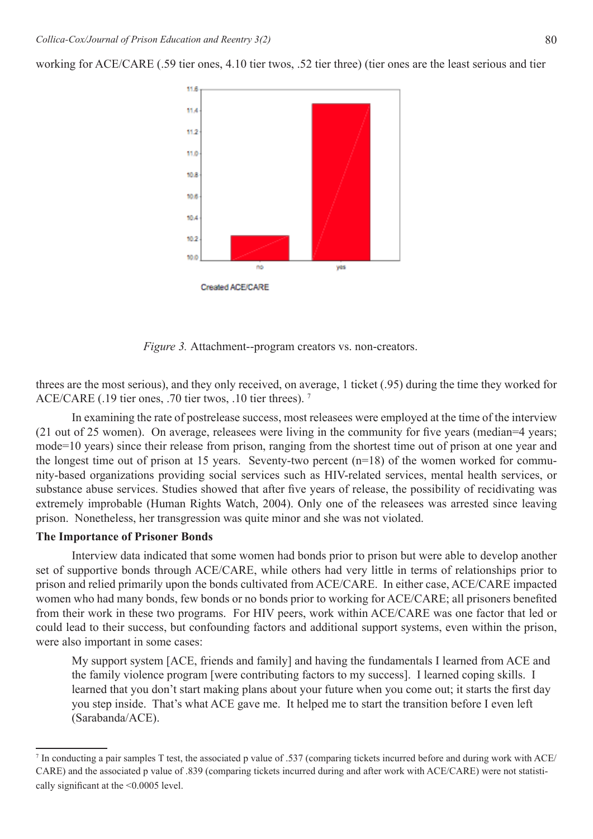11.6 11.4 11.2 11.0 10.8 10.6 10.4 10.2 10.0 yes Created ACE/CARE

working for ACE/CARE (.59 tier ones, 4.10 tier twos, .52 tier three) (tier ones are the least serious and tier

*Figure 3.* Attachment--program creators vs. non-creators.

threes are the most serious), and they only received, on average, 1 ticket (.95) during the time they worked for ACE/CARE (.19 tier ones, .70 tier twos, .10 tier threes). <sup>7</sup>

In examining the rate of postrelease success, most releasees were employed at the time of the interview (21 out of 25 women). On average, releasees were living in the community for five years (median=4 years; mode=10 years) since their release from prison, ranging from the shortest time out of prison at one year and the longest time out of prison at 15 years. Seventy-two percent (n=18) of the women worked for community-based organizations providing social services such as HIV-related services, mental health services, or substance abuse services. Studies showed that after five years of release, the possibility of recidivating was extremely improbable (Human Rights Watch, 2004). Only one of the releasees was arrested since leaving prison. Nonetheless, her transgression was quite minor and she was not violated.

#### **The Importance of Prisoner Bonds**

Interview data indicated that some women had bonds prior to prison but were able to develop another set of supportive bonds through ACE/CARE, while others had very little in terms of relationships prior to prison and relied primarily upon the bonds cultivated from ACE/CARE. In either case, ACE/CARE impacted women who had many bonds, few bonds or no bonds prior to working for ACE/CARE; all prisoners benefited from their work in these two programs. For HIV peers, work within ACE/CARE was one factor that led or could lead to their success, but confounding factors and additional support systems, even within the prison, were also important in some cases:

My support system [ACE, friends and family] and having the fundamentals I learned from ACE and the family violence program [were contributing factors to my success]. I learned coping skills. I learned that you don't start making plans about your future when you come out; it starts the first day you step inside. That's what ACE gave me. It helped me to start the transition before I even left (Sarabanda/ACE).



<sup>7</sup> In conducting a pair samples T test, the associated p value of .537 (comparing tickets incurred before and during work with ACE/ CARE) and the associated p value of .839 (comparing tickets incurred during and after work with ACE/CARE) were not statistically significant at the <0.0005 level.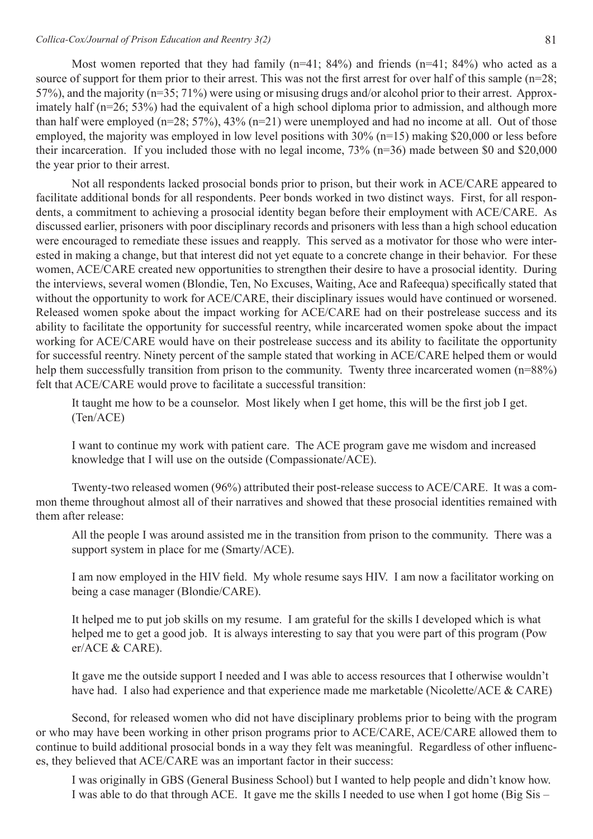Most women reported that they had family (n=41; 84%) and friends (n=41; 84%) who acted as a source of support for them prior to their arrest. This was not the first arrest for over half of this sample (n=28; 57%), and the majority (n=35; 71%) were using or misusing drugs and/or alcohol prior to their arrest. Approximately half (n=26; 53%) had the equivalent of a high school diploma prior to admission, and although more than half were employed (n=28; 57%), 43% (n=21) were unemployed and had no income at all. Out of those employed, the majority was employed in low level positions with 30% (n=15) making \$20,000 or less before their incarceration. If you included those with no legal income, 73% (n=36) made between \$0 and \$20,000 the year prior to their arrest.

Not all respondents lacked prosocial bonds prior to prison, but their work in ACE/CARE appeared to facilitate additional bonds for all respondents. Peer bonds worked in two distinct ways. First, for all respondents, a commitment to achieving a prosocial identity began before their employment with ACE/CARE. As discussed earlier, prisoners with poor disciplinary records and prisoners with less than a high school education were encouraged to remediate these issues and reapply. This served as a motivator for those who were interested in making a change, but that interest did not yet equate to a concrete change in their behavior. For these women, ACE/CARE created new opportunities to strengthen their desire to have a prosocial identity. During the interviews, several women (Blondie, Ten, No Excuses, Waiting, Ace and Rafeequa) specifically stated that without the opportunity to work for ACE/CARE, their disciplinary issues would have continued or worsened. Released women spoke about the impact working for ACE/CARE had on their postrelease success and its ability to facilitate the opportunity for successful reentry, while incarcerated women spoke about the impact working for ACE/CARE would have on their postrelease success and its ability to facilitate the opportunity for successful reentry. Ninety percent of the sample stated that working in ACE/CARE helped them or would help them successfully transition from prison to the community. Twenty three incarcerated women (n=88%) felt that ACE/CARE would prove to facilitate a successful transition:

 It taught me how to be a counselor. Most likely when I get home, this will be the first job I get. (Ten/ACE)

 I want to continue my work with patient care. The ACE program gave me wisdom and increased knowledge that I will use on the outside (Compassionate/ACE).

 Twenty-two released women (96%) attributed their post-release success to ACE/CARE. It was a common theme throughout almost all of their narratives and showed that these prosocial identities remained with them after release:

 All the people I was around assisted me in the transition from prison to the community. There was a support system in place for me (Smarty/ACE).

 I am now employed in the HIV field. My whole resume says HIV. I am now a facilitator working on being a case manager (Blondie/CARE).

It helped me to put job skills on my resume. I am grateful for the skills I developed which is what helped me to get a good job. It is always interesting to say that you were part of this program (Pow er/ACE & CARE).

It gave me the outside support I needed and I was able to access resources that I otherwise wouldn't have had. I also had experience and that experience made me marketable (Nicolette/ACE & CARE)

Second, for released women who did not have disciplinary problems prior to being with the program or who may have been working in other prison programs prior to ACE/CARE, ACE/CARE allowed them to continue to build additional prosocial bonds in a way they felt was meaningful. Regardless of other influences, they believed that ACE/CARE was an important factor in their success:

 I was originally in GBS (General Business School) but I wanted to help people and didn't know how. I was able to do that through ACE. It gave me the skills I needed to use when I got home (Big Sis –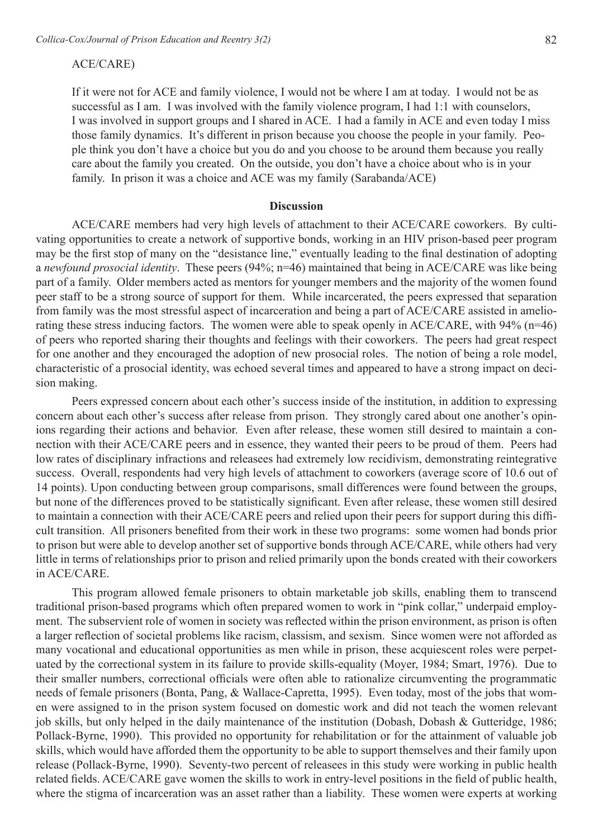#### ACE/CARE)

If it were not for ACE and family violence, I would not be where I am at today. I would not be as successful as I am. I was involved with the family violence program, I had 1:1 with counselors, I was involved in support groups and I shared in ACE. I had a family in ACE and even today I miss those family dynamics. It's different in prison because you choose the people in your family. People think you don't have a choice but you do and you choose to be around them because you really care about the family you created. On the outside, you don't have a choice about who is in your family. In prison it was a choice and ACE was my family (Sarabanda/ACE)

#### **Discussion**

ACE/CARE members had very high levels of attachment to their ACE/CARE coworkers. By cultivating opportunities to create a network of supportive bonds, working in an HIV prison-based peer program may be the first stop of many on the "desistance line," eventually leading to the final destination of adopting a *newfound prosocial identity*. These peers (94%; n=46) maintained that being in ACE/CARE was like being part of a family. Older members acted as mentors for younger members and the majority of the women found peer staff to be a strong source of support for them. While incarcerated, the peers expressed that separation from family was the most stressful aspect of incarceration and being a part of ACE/CARE assisted in ameliorating these stress inducing factors. The women were able to speak openly in ACE/CARE, with 94% (n=46) of peers who reported sharing their thoughts and feelings with their coworkers. The peers had great respect for one another and they encouraged the adoption of new prosocial roles. The notion of being a role model, characteristic of a prosocial identity, was echoed several times and appeared to have a strong impact on decision making.

Peers expressed concern about each other's success inside of the institution, in addition to expressing concern about each other's success after release from prison. They strongly cared about one another's opinions regarding their actions and behavior. Even after release, these women still desired to maintain a connection with their ACE/CARE peers and in essence, they wanted their peers to be proud of them. Peers had low rates of disciplinary infractions and releasees had extremely low recidivism, demonstrating reintegrative success. Overall, respondents had very high levels of attachment to coworkers (average score of 10.6 out of 14 points). Upon conducting between group comparisons, small differences were found between the groups, but none of the differences proved to be statistically significant. Even after release, these women still desired to maintain a connection with their ACE/CARE peers and relied upon their peers for support during this difficult transition. All prisoners benefited from their work in these two programs: some women had bonds prior to prison but were able to develop another set of supportive bonds through ACE/CARE, while others had very little in terms of relationships prior to prison and relied primarily upon the bonds created with their coworkers in ACE/CARE.

 This program allowed female prisoners to obtain marketable job skills, enabling them to transcend traditional prison-based programs which often prepared women to work in "pink collar," underpaid employment. The subservient role of women in society was reflected within the prison environment, as prison is often a larger reflection of societal problems like racism, classism, and sexism. Since women were not afforded as many vocational and educational opportunities as men while in prison, these acquiescent roles were perpetuated by the correctional system in its failure to provide skills-equality (Moyer, 1984; Smart, 1976). Due to their smaller numbers, correctional officials were often able to rationalize circumventing the programmatic needs of female prisoners (Bonta, Pang, & Wallace-Capretta, 1995). Even today, most of the jobs that women were assigned to in the prison system focused on domestic work and did not teach the women relevant job skills, but only helped in the daily maintenance of the institution (Dobash, Dobash & Gutteridge, 1986; Pollack-Byrne, 1990). This provided no opportunity for rehabilitation or for the attainment of valuable job skills, which would have afforded them the opportunity to be able to support themselves and their family upon release (Pollack-Byrne, 1990). Seventy-two percent of releasees in this study were working in public health related fields. ACE/CARE gave women the skills to work in entry-level positions in the field of public health, where the stigma of incarceration was an asset rather than a liability. These women were experts at working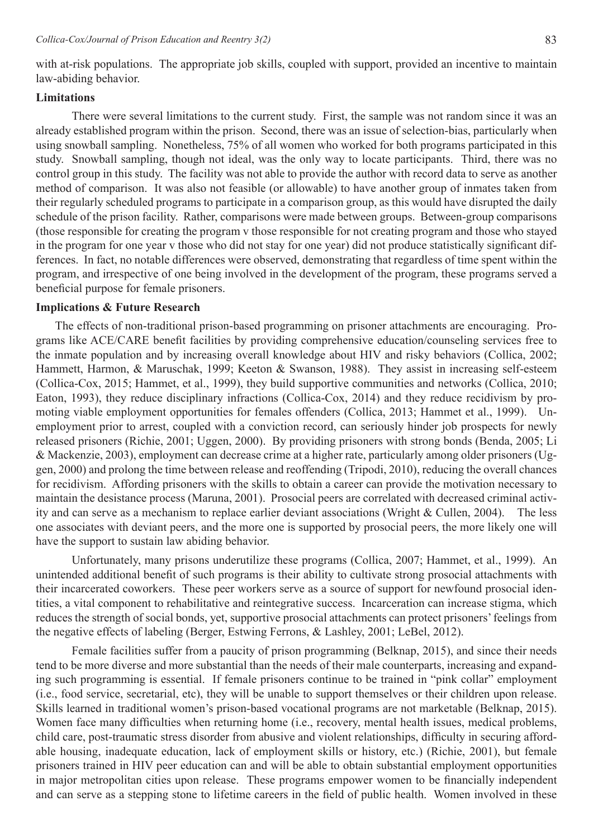with at-risk populations. The appropriate job skills, coupled with support, provided an incentive to maintain law-abiding behavior.

## **Limitations**

 There were several limitations to the current study. First, the sample was not random since it was an already established program within the prison. Second, there was an issue of selection-bias, particularly when using snowball sampling. Nonetheless, 75% of all women who worked for both programs participated in this study. Snowball sampling, though not ideal, was the only way to locate participants. Third, there was no control group in this study. The facility was not able to provide the author with record data to serve as another method of comparison. It was also not feasible (or allowable) to have another group of inmates taken from their regularly scheduled programs to participate in a comparison group, as this would have disrupted the daily schedule of the prison facility. Rather, comparisons were made between groups. Between-group comparisons (those responsible for creating the program v those responsible for not creating program and those who stayed in the program for one year v those who did not stay for one year) did not produce statistically significant differences. In fact, no notable differences were observed, demonstrating that regardless of time spent within the program, and irrespective of one being involved in the development of the program, these programs served a beneficial purpose for female prisoners.

#### **Implications & Future Research**

 The effects of non-traditional prison-based programming on prisoner attachments are encouraging. Programs like ACE/CARE benefit facilities by providing comprehensive education/counseling services free to the inmate population and by increasing overall knowledge about HIV and risky behaviors (Collica, 2002; Hammett, Harmon, & Maruschak, 1999; Keeton & Swanson, 1988). They assist in increasing self-esteem (Collica-Cox, 2015; Hammet, et al., 1999), they build supportive communities and networks (Collica, 2010; Eaton, 1993), they reduce disciplinary infractions (Collica-Cox, 2014) and they reduce recidivism by promoting viable employment opportunities for females offenders (Collica, 2013; Hammet et al., 1999). Unemployment prior to arrest, coupled with a conviction record, can seriously hinder job prospects for newly released prisoners (Richie, 2001; Uggen, 2000). By providing prisoners with strong bonds (Benda, 2005; Li & Mackenzie, 2003), employment can decrease crime at a higher rate, particularly among older prisoners (Uggen, 2000) and prolong the time between release and reoffending (Tripodi, 2010), reducing the overall chances for recidivism. Affording prisoners with the skills to obtain a career can provide the motivation necessary to maintain the desistance process (Maruna, 2001). Prosocial peers are correlated with decreased criminal activity and can serve as a mechanism to replace earlier deviant associations (Wright & Cullen, 2004). The less one associates with deviant peers, and the more one is supported by prosocial peers, the more likely one will have the support to sustain law abiding behavior.

 Unfortunately, many prisons underutilize these programs (Collica, 2007; Hammet, et al., 1999). An unintended additional benefit of such programs is their ability to cultivate strong prosocial attachments with their incarcerated coworkers. These peer workers serve as a source of support for newfound prosocial identities, a vital component to rehabilitative and reintegrative success. Incarceration can increase stigma, which reduces the strength of social bonds, yet, supportive prosocial attachments can protect prisoners' feelings from the negative effects of labeling (Berger, Estwing Ferrons, & Lashley, 2001; LeBel, 2012).

 Female facilities suffer from a paucity of prison programming (Belknap, 2015), and since their needs tend to be more diverse and more substantial than the needs of their male counterparts, increasing and expanding such programming is essential. If female prisoners continue to be trained in "pink collar" employment (i.e., food service, secretarial, etc), they will be unable to support themselves or their children upon release. Skills learned in traditional women's prison-based vocational programs are not marketable (Belknap, 2015). Women face many difficulties when returning home (i.e., recovery, mental health issues, medical problems, child care, post-traumatic stress disorder from abusive and violent relationships, difficulty in securing affordable housing, inadequate education, lack of employment skills or history, etc.) (Richie, 2001), but female prisoners trained in HIV peer education can and will be able to obtain substantial employment opportunities in major metropolitan cities upon release. These programs empower women to be financially independent and can serve as a stepping stone to lifetime careers in the field of public health. Women involved in these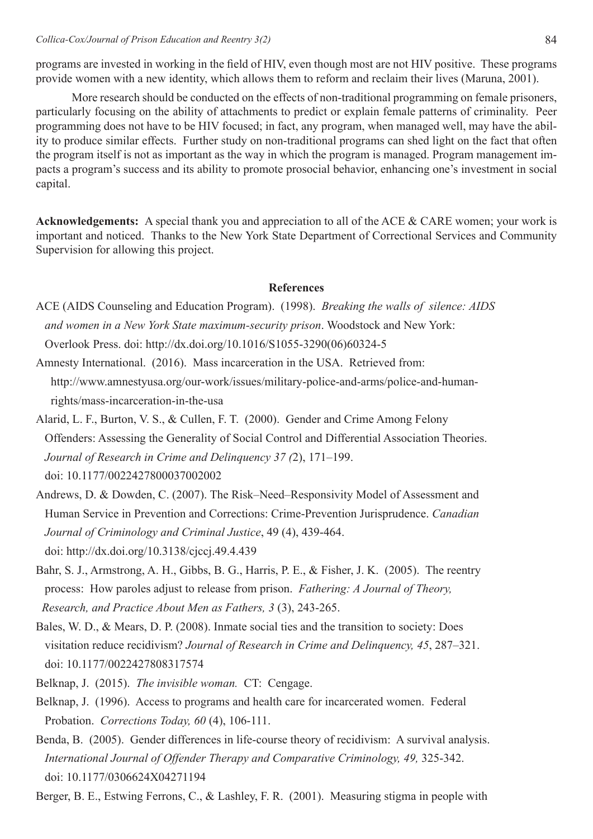More research should be conducted on the effects of non-traditional programming on female prisoners, particularly focusing on the ability of attachments to predict or explain female patterns of criminality. Peer programming does not have to be HIV focused; in fact, any program, when managed well, may have the ability to produce similar effects. Further study on non-traditional programs can shed light on the fact that often the program itself is not as important as the way in which the program is managed. Program management impacts a program's success and its ability to promote prosocial behavior, enhancing one's investment in social capital.

**Acknowledgements:** A special thank you and appreciation to all of the ACE & CARE women; your work is important and noticed. Thanks to the New York State Department of Correctional Services and Community Supervision for allowing this project.

#### **References**

- ACE (AIDS Counseling and Education Program). (1998). *Breaking the walls of silence: AIDS and women in a New York State maximum-security prison*. Woodstock and New York: Overlook Press. doi: [http://dx.doi.org/10.1016/S1055-3290\(06\)60324-5](http://dx.doi.org/10.1016/S1055-3290(06)60324-5)
- Amnesty International. (2016). Mass incarceration in the USA. Retrieved from:  [http://www.amnestyusa.org/our-work/issues/military-police-and-arms/police-and-human](file:///Users/gingermariewalker/Desktop/        http://www.amnestyusa.org/our-work/issues/military-police-and-arms/police-and-human-        rights/mass-incarceration-in-the-usa)   [rights/mass-incarceration-in-the-usa](file:///Users/gingermariewalker/Desktop/        http://www.amnestyusa.org/our-work/issues/military-police-and-arms/police-and-human-        rights/mass-incarceration-in-the-usa)
- Alarid, L. F., Burton, V. S., & Cullen, F. T. (2000). Gender and Crime Among Felony Offenders: Assessing the Generality of Social Control and Differential Association Theories. *Journal of Research in Crime and Delinquency 37 (*2), 171–199. doi: 10.1177/0022427800037002002
- Andrews, D. & Dowden, C. (2007). The Risk–Need–Responsivity Model of Assessment and Human Service in Prevention and Corrections: Crime-Prevention Jurisprudence. *Canadian Journal of Criminology and Criminal Justice*, 49 (4), 439-464. doi: <http://dx.doi.org/10.3138/cjccj.49.4.439>
- Bahr, S. J., Armstrong, A. H., Gibbs, B. G., Harris, P. E., & Fisher, J. K. (2005). The reentry process: How paroles adjust to release from prison. *Fathering: A Journal of Theory, Research, and Practice About Men as Fathers, 3* (3), 243-265.
- Bales, W. D., & Mears, D. P. (2008). Inmate social ties and the transition to society: Does visitation reduce recidivism? *Journal of Research in Crime and Delinquency, 45*, 287–321. doi: 10.1177/0022427808317574
- Belknap, J. (2015). *The invisible woman.* CT: Cengage.
- Belknap, J. (1996). Access to programs and health care for incarcerated women. Federal Probation. *Corrections Today, 60* (4), 106-111.
- Benda, B. (2005). Gender differences in life-course theory of recidivism: A survival analysis. *International Journal of Offender Therapy and Comparative Criminology, 49,* 325-342. doi: 10.1177/0306624X04271194

Berger, B. E., Estwing Ferrons, C., & Lashley, F. R. (2001). Measuring stigma in people with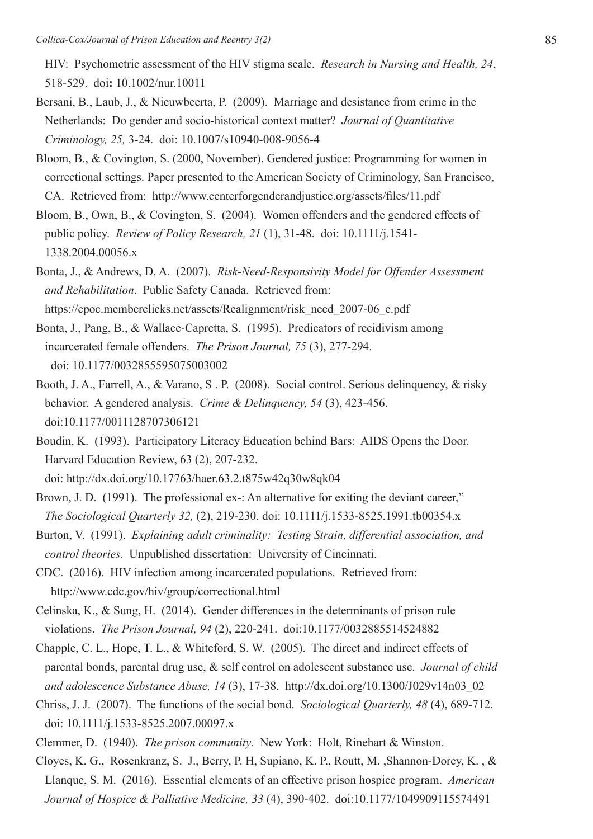HIV: Psychometric assessment of the HIV stigma scale. *Research in Nursing and Health, 24*, 518-529. doi**:** 10.1002/nur.10011

- Bersani, B., Laub, J., & Nieuwbeerta, P. (2009). Marriage and desistance from crime in the Netherlands: Do gender and socio-historical context matter? *Journal of Quantitative Criminology, 25,* 3-24. doi: 10.1007/s10940-008-9056-4
- Bloom, B., & Covington, S. (2000, November). Gendered justice: Programming for women in correctional settings. Paper presented to the American Society of Criminology, San Francisco, CA. Retrieved from: <http://www.centerforgenderandjustice.org/assets/files/11.pdf>
- Bloom, B., Own, B., & Covington, S. (2004). Women offenders and the gendered effects of public policy. *Review of Policy Research, 21* (1), 31-48. doi: 10.1111/j.1541- 1338.2004.00056.x
- Bonta, J., & Andrews, D. A. (2007). *Risk-Need-Responsivity Model for Offender Assessment and Rehabilitation*. Public Safety Canada. Retrieved from: [https://cpoc.memberclicks.net/assets/Realignment/risk\\_need\\_2007-06\\_e.pdf](https://cpoc.memberclicks.net/assets/Realignment/risk_need_2007-06_e.pdf)
- Bonta, J., Pang, B., & Wallace-Capretta, S. (1995). Predicators of recidivism among incarcerated female offenders. *The Prison Journal, 75* (3), 277-294. doi: 10.1177/0032855595075003002
- Booth, J. A., Farrell, A., & Varano, S . P. (2008). Social control. Serious delinquency, & risky behavior. A gendered analysis. *Crime & Delinquency, 54* (3), 423-456. doi:10.1177/0011128707306121
- Boudin, K. (1993). Participatory Literacy Education behind Bars: AIDS Opens the Door. Harvard Education Review, 63 (2), 207-232. doi: <http://dx.doi.org/10.17763/haer.63.2.t875w42q30w8qk04>
- Brown, J. D. (1991). The professional ex-: An alternative for exiting the deviant career," *The Sociological Quarterly 32,* (2), 219-230. doi: 10.1111/j.1533-8525.1991.tb00354.x
- Burton, V. (1991). *Explaining adult criminality: Testing Strain, differential association, and control theories.* Unpublished dissertation: University of Cincinnati.
- CDC. (2016). HIV infection among incarcerated populations. Retrieved from: <http://www.cdc.gov/hiv/group/correctional.html>
- Celinska, K., & Sung, H. (2014). Gender differences in the determinants of prison rule violations. *The Prison Journal, 94* (2), 220-241. doi:10.1177/0032885514524882
- Chapple, C. L., Hope, T. L., & Whiteford, S. W. (2005). The direct and indirect effects of parental bonds, parental drug use, & self control on adolescent substance use. *Journal of child and adolescence Substance Abuse, 14* (3), 17-38. [http://dx.doi.org/10.1300/J029v14n03\\_02](http://dx.doi.org/10.1300/J029v14n03_02)
- Chriss, J. J. (2007). The functions of the social bond. *Sociological Quarterly, 48* (4), 689-712. doi: 10.1111/j.1533-8525.2007.00097.x
- Clemmer, D. (1940). *The prison community*. New York: Holt, Rinehart & Winston.
- Cloyes, K. G., Rosenkranz, S. J., Berry, P. H, Supiano, K. P., Routt, M. ,Shannon-Dorcy, K. , & Llanque, S. M. (2016). Essential elements of an effective prison hospice program. *American Journal of Hospice & Palliative Medicine, 33* (4), 390-402. doi:10.1177/1049909115574491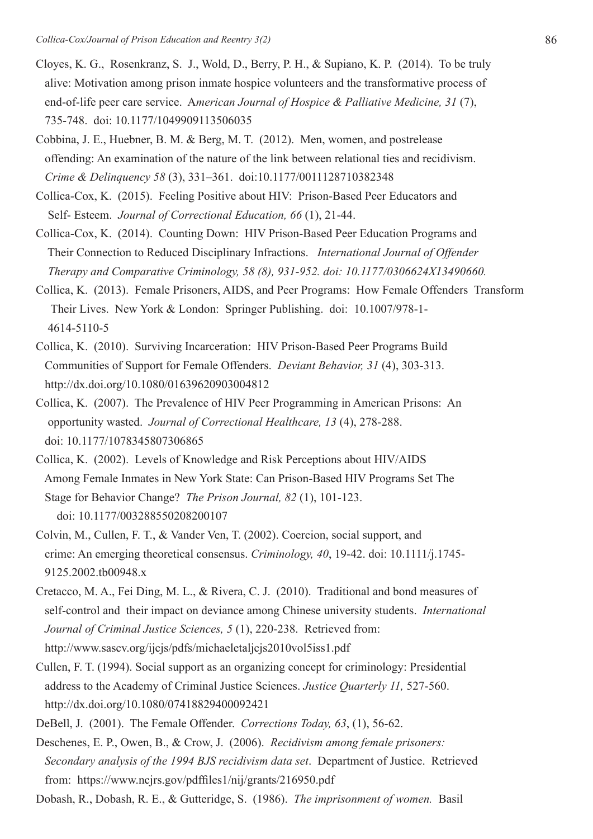- Cloyes, K. G., Rosenkranz, S. J., Wold, D., Berry, P. H., & Supiano, K. P. (2014). To be truly alive: Motivation among prison inmate hospice volunteers and the transformative process of end-of-life peer care service. A*merican Journal of Hospice & Palliative Medicine, 31* (7), 735-748. doi: [10.1177/1049909113506035](http://dx.doi.org/10.1177/1049909113506035)
- Cobbina, J. E., Huebner, B. M. & Berg, M. T. (2012). Men, women, and postrelease offending: An examination of the nature of the link between relational ties and recidivism.  *Crime & Delinquency 58* (3), 331–361.doi:10.1177/0011128710382348
- Collica-Cox, K. (2015).Feeling Positive about HIV: Prison-Based Peer Educators and Self- Esteem. *Journal of Correctional Education, 66* (1), 21-44.
- Collica-Cox, K. (2014). Counting Down: HIV Prison-Based Peer Education Programs and Their Connection to Reduced Disciplinary Infractions. *International Journal of Offender Therapy and Comparative Criminology, 58 (8), 931-952. doi: 10.1177/0306624X13490660.*
- Collica, K. (2013). Female Prisoners, AIDS, and Peer Programs: How Female Offenders Transform Their Lives. New York & London: Springer Publishing. doi: 10.1007/978-1- 4614-5110-5
- Collica, K.(2010). Surviving Incarceration: HIV Prison-Based Peer Programs Build Communities of Support for Female Offenders. *Deviant Behavior, 31* (4), 303-313. <http://dx.doi.org/10.1080/01639620903004812>
- Collica, K. (2007). The Prevalence of HIV Peer Programming in American Prisons: An opportunity wasted. *Journal of Correctional Healthcare, 13* (4), 278-288. doi: 10.1177/1078345807306865
- Collica, K. (2002). Levels of Knowledge and Risk Perceptions about HIV/AIDS Among Female Inmates in New York State: Can Prison-Based HIV Programs Set The Stage for Behavior Change? *The Prison Journal, 82* (1), 101-123. doi: 10.1177/003288550208200107
- Colvin, M., Cullen, F. T., & Vander Ven, T. (2002). Coercion, social support, and crime: An emerging theoretical consensus. *Criminology, 40*, 19-42. doi: 10.1111/j.1745- 9125.2002.tb00948.x
- Cretacco, M. A., Fei Ding, M. L., & Rivera, C. J. (2010). Traditional and bond measures of self-control and their impact on deviance among Chinese university students. *International Journal of Criminal Justice Sciences, 5* (1), 220-238. Retrieved from: <http://www.sascv.org/ijcjs/pdfs/michaeletaljcjs2010vol5iss1.pdf>
- Cullen, F. T. (1994). Social support as an organizing concept for criminology: Presidential address to the Academy of Criminal Justice Sciences. *Justice Quarterly 11,* 527-560. <http://dx.doi.org/10.1080/07418829400092421>
- DeBell, J. (2001). The Female Offender. *Corrections Today, 63*, (1), 56-62.
- Deschenes, E. P., Owen, B., & Crow, J. (2006). *Recidivism among female prisoners: Secondary analysis of the 1994 BJS recidivism data set*. Department of Justice. Retrieved from: <https://www.ncjrs.gov/pdffiles1/nij/grants/216950.pdf>
- Dobash, R., Dobash, R. E., & Gutteridge, S. (1986). *The imprisonment of women.* Basil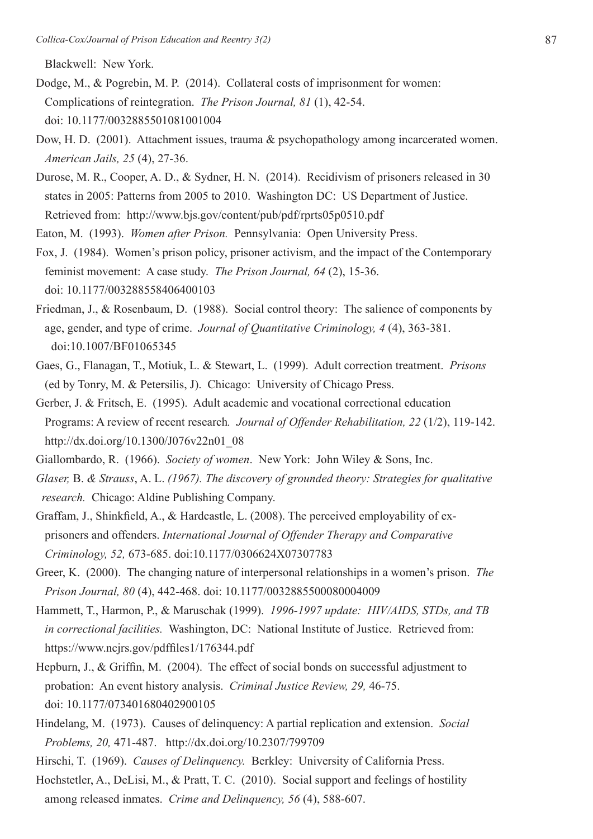Blackwell: New York.

- Dodge, M., & Pogrebin, M. P. (2014). Collateral costs of imprisonment for women: Complications of reintegration. *The Prison Journal, 81* (1), 42-54. doi: 10.1177/0032885501081001004
- Dow, H. D. (2001). Attachment issues, trauma & psychopathology among incarcerated women. *American Jails, 25* (4), 27-36.
- Durose, M. R., Cooper, A. D., & Sydner, H. N. (2014). Recidivism of prisoners released in 30 states in 2005: Patterns from 2005 to 2010. Washington DC: US Department of Justice. Retrieved from: <http://www.bjs.gov/content/pub/pdf/rprts05p0510.pdf>
- Eaton, M. (1993). *Women after Prison.* Pennsylvania: Open University Press.
- Fox, J. (1984). Women's prison policy, prisoner activism, and the impact of the Contemporary feminist movement: A case study. *The Prison Journal, 64* (2), 15-36. doi: 10.1177/003288558406400103
- Friedman, J., & Rosenbaum, D. (1988). Social control theory: The salience of components by age, gender, and type of crime. *Journal of Quantitative Criminology, 4* (4), 363-381. doi:10.1007/BF01065345
- Gaes, G., Flanagan, T., Motiuk, L. & Stewart, L. (1999). Adult correction treatment. *Prisons* (ed by Tonry, M. & Petersilis, J). Chicago: University of Chicago Press.
- Gerber, J. & Fritsch, E. (1995). Adult academic and vocational correctional education Programs: A review of recent research*. Journal of Offender Rehabilitation, 22* (1/2), 119-142. [http://dx.doi.org/10.1300/J076v22n01\\_08](http://dx.doi.org/10.1300/J076v22n01_08)
- Giallombardo, R. (1966). *Society of women*. New York: John Wiley & Sons, Inc.
- *Glaser,* B. *& Strauss*, A. L. *(1967). The discovery of grounded theory: Strategies for qualitative research.* Chicago: Aldine Publishing Company.
- Graffam, J., Shinkfield, A., & Hardcastle, L. (2008). The perceived employability of ex prisoners and offenders. *International Journal of Offender Therapy and Comparative Criminology, 52,* 673-685. doi:10.1177/0306624X07307783
- Greer, K. (2000). The changing nature of interpersonal relationships in a women's prison. *The Prison Journal, 80* (4), 442-468. doi: 10.1177/0032885500080004009
- Hammett, T., Harmon, P., & Maruschak (1999). *1996-1997 update: HIV/AIDS, STDs, and TB in correctional facilities.* Washington, DC: National Institute of Justice. Retrieved from: <https://www.ncjrs.gov/pdffiles1/176344.pdf>
- Hepburn, J., & Griffin, M. (2004). The effect of social bonds on successful adjustment to probation: An event history analysis. *Criminal Justice Review, 29,* 46-75. doi: 10.1177/073401680402900105
- Hindelang, M. (1973). Causes of delinquency: A partial replication and extension. *Social Problems, 20,* 471-487. <http://dx.doi.org/10.2307/799709>
- Hirschi, T. (1969). *Causes of Delinquency.* Berkley: University of California Press.
- Hochstetler, A., DeLisi, M., & Pratt, T. C. (2010). Social support and feelings of hostility among released inmates. *Crime and Delinquency, 56* (4), 588-607.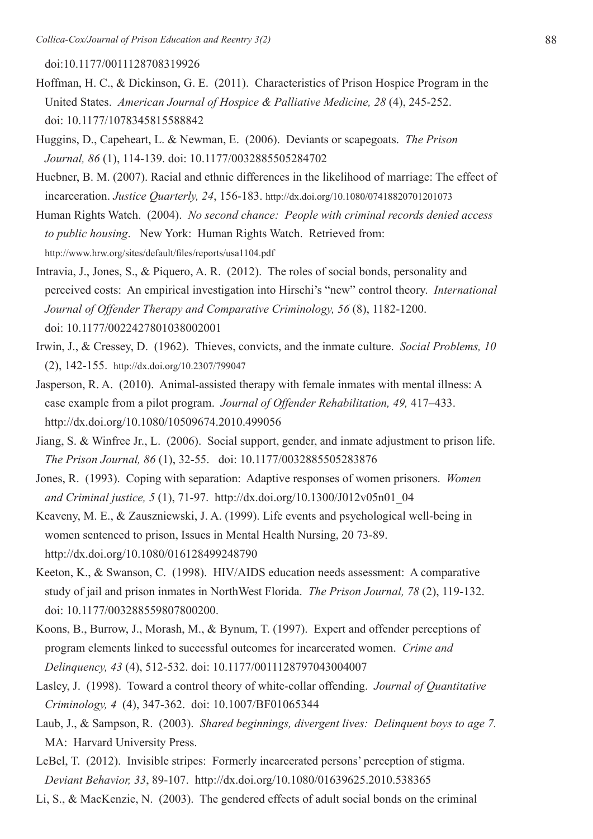doi:10.1177/0011128708319926

- Hoffman, H. C., & Dickinson, G. E. (2011). Characteristics of Prison Hospice Program in the United States. *American Journal of Hospice & Palliative Medicine, 28* (4), 245-252. doi: 10.1177/1078345815588842
- Huggins, D., Capeheart, L. & Newman, E. (2006). Deviants or scapegoats. *The Prison Journal, 86* (1), 114-139. doi: 10.1177/0032885505284702
- Huebner, B. M. (2007). Racial and ethnic differences in the likelihood of marriage: The effect of incarceration. *Justice Quarterly, 24*, 156-183. <http://dx.doi.org/10.1080/07418820701201073>

Human Rights Watch. (2004). *No second chance: People with criminal records denied access to public housing*. New York: Human Rights Watch. Retrieved from: <http://www.hrw.org/sites/default/files/reports/usa1104.pdf>

Intravia, J., Jones, S., & Piquero, A. R. (2012). The roles of social bonds, personality and perceived costs: An empirical investigation into Hirschi's "new" control theory. *International Journal of Offender Therapy and Comparative Criminology, 56* (8), 1182-1200. doi: 10.1177/0022427801038002001

- Irwin, J., & Cressey, D. (1962). Thieves, convicts, and the inmate culture. *Social Problems, 10* (2), 142-155.<http://dx.doi.org/10.2307/799047>
- Jasperson, R. A. (2010). Animal-assisted therapy with female inmates with mental illness: A case example from a pilot program. *Journal of Offender Rehabilitation, 49,* 417–433. <http://dx.doi.org/10.1080/10509674.2010.499056>
- Jiang, S. & Winfree Jr., L. (2006). Social support, gender, and inmate adjustment to prison life. *The Prison Journal, 86* (1), 32-55. doi: 10.1177/0032885505283876
- Jones, R. (1993). Coping with separation: Adaptive responses of women prisoners. *Women and Criminal justice, 5* (1), 71-97. [http://dx.doi.org/10.1300/J012v05n01\\_04](http://dx.doi.org/10.1300/J012v05n01_04)
- Keaveny, M. E., & Zauszniewski, J. A. (1999). Life events and psychological well-being in women sentenced to prison, Issues in Mental Health Nursing, 20 73-89. <http://dx.doi.org/10.1080/016128499248790>
- Keeton, K., & Swanson, C. (1998). HIV/AIDS education needs assessment: A comparative study of jail and prison inmates in NorthWest Florida. *The Prison Journal, 78* (2), 119-132. doi: 10.1177/003288559807800200.
- Koons, B., Burrow, J., Morash, M., & Bynum, T. (1997). Expert and offender perceptions of program elements linked to successful outcomes for incarcerated women. *Crime and Delinquency, 43* (4), 512-532. doi: 10.1177/0011128797043004007
- Lasley, J. (1998). Toward a control theory of white-collar offending. *Journal of Quantitative Criminology, 4* (4), 347-362. doi: 10.1007/BF01065344
- Laub, J., & Sampson, R. (2003). *Shared beginnings, divergent lives: Delinquent boys to age 7.*  MA: Harvard University Press.
- LeBel, T. (2012). Invisible stripes: Formerly incarcerated persons' perception of stigma. *Deviant Behavior, 33*, 89-107.<http://dx.doi.org/10.1080/01639625.2010.538365>
- Li, S., & MacKenzie, N. (2003). The gendered effects of adult social bonds on the criminal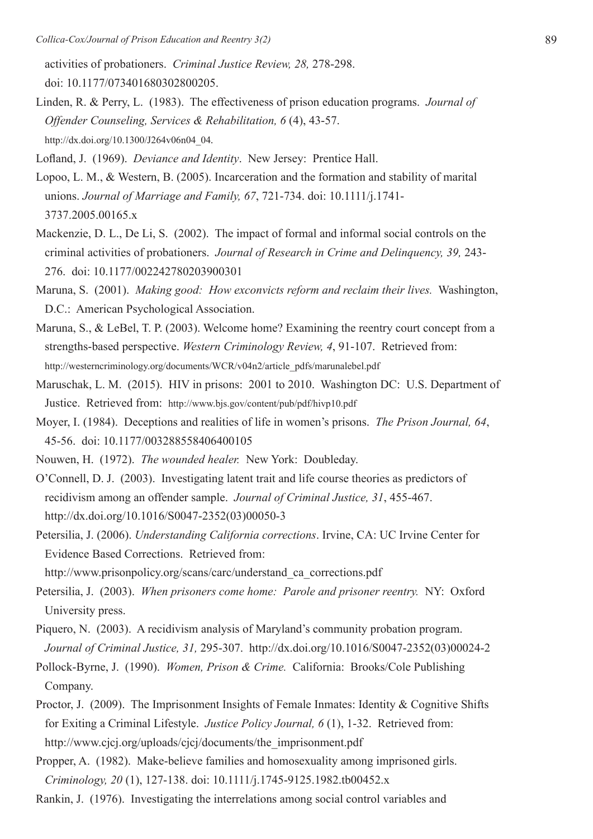activities of probationers. *Criminal Justice Review, 28,* 278-298. doi: 10.1177/073401680302800205.

Linden, R. & Perry, L. (1983). The effectiveness of prison education programs. *Journal of Offender Counseling, Services & Rehabilitation, 6* (4), 43-57. [http://dx.doi.org/10.1300/J264v06n04\\_04](http://dx.doi.org/10.1300/J264v06n04_04)*.*

Lofland, J. (1969). *Deviance and Identity*. New Jersey: Prentice Hall.

- Lopoo, L. M., & Western, B. (2005). Incarceration and the formation and stability of marital unions. *Journal of Marriage and Family, 67*, 721-734. doi: 10.1111/j.1741- 3737.2005.00165.x
- Mackenzie, D. L., De Li, S. (2002). The impact of formal and informal social controls on the criminal activities of probationers. *Journal of Research in Crime and Delinquency, 39,* 243- 276.doi: 10.1177/002242780203900301
- Maruna, S. (2001). *Making good: How exconvicts reform and reclaim their lives.* Washington, D.C.: American Psychological Association.
- Maruna, S., & LeBel, T. P. (2003). Welcome home? Examining the reentry court concept from a strengths-based perspective. *Western Criminology Review, 4*, 91-107. Retrieved from: [http://westerncriminology.org/documents/WCR/v04n2/article\\_pdfs/marunalebel.pdf](http://westerncriminology.org/documents/WCR/v04n2/article_pdfs/marunalebel.pdf)
- Maruschak, L. M. (2015). HIV in prisons: 2001 to 2010. Washington DC: U.S. Department of Justice. Retrieved from: <http://www.bjs.gov/content/pub/pdf/hivp10.pdf>
- Moyer, I. (1984). Deceptions and realities of life in women's prisons. *The Prison Journal, 64*, 45-56. doi: 10.1177/003288558406400105

Nouwen, H. (1972). *The wounded healer.* New York: Doubleday.

O'Connell, D. J. (2003). Investigating latent trait and life course theories as predictors of recidivism among an offender sample. *Journal of Criminal Justice, 31*, 455-467. [http://dx.doi.org/10.1016/S0047-2352\(03\)00050-3](http://dx.doi.org/10.1016/S0047-2352(03)00050-3)

Petersilia, J. (2006). *Understanding California corrections*. Irvine, CA: UC Irvine Center for Evidence Based Corrections. Retrieved from:

[http://www.prisonpolicy.org/scans/carc/understand\\_ca\\_corrections.pdf](http://www.prisonpolicy.org/scans/carc/understand_ca_corrections.pdf)

- Petersilia, J. (2003). *When prisoners come home: Parole and prisoner reentry.* NY: Oxford University press.
- Piquero, N. (2003). A recidivism analysis of Maryland's community probation program. *Journal of Criminal Justice, 31,* 295-307. [http://dx.doi.org/10.1016/S0047-2352\(03\)00024-2](http://dx.doi.org/10.1016/S0047-2352(03)00024-2)
- Pollock-Byrne, J. (1990). *Women, Prison & Crime.* California: Brooks/Cole Publishing Company.
- Proctor, J. (2009). The Imprisonment Insights of Female Inmates: Identity & Cognitive Shifts for Exiting a Criminal Lifestyle. *Justice Policy Journal, 6* (1), 1-32. Retrieved from: [http://www.cjcj.org/uploads/cjcj/documents/the\\_imprisonment.pdf](http://www.cjcj.org/uploads/cjcj/documents/the_imprisonment.pdf)
- Propper, A. (1982). Make-believe families and homosexuality among imprisoned girls. *Criminology, 20* (1), 127-138. doi: 10.1111/j.1745-9125.1982.tb00452.x
- Rankin, J. (1976). Investigating the interrelations among social control variables and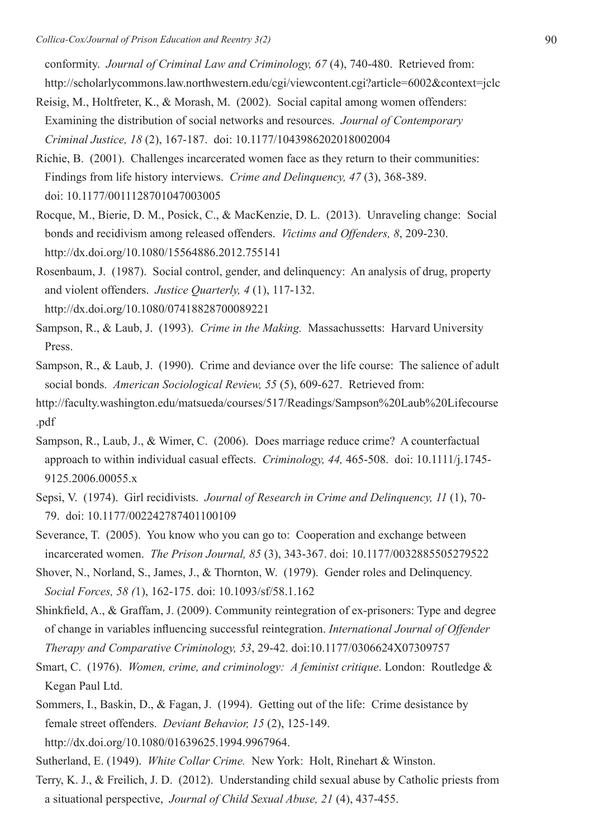conformity. *Journal of Criminal Law and Criminology, 67* (4), 740-480. Retrieved from: <http://scholarlycommons.law.northwestern.edu/cgi/viewcontent.cgi?article=6002&context=jclc>

- Reisig, M., Holtfreter, K., & Morash, M. (2002). Social capital among women offenders: Examining the distribution of social networks and resources. *Journal of Contemporary Criminal Justice, 18* (2), 167-187. doi: 10.1177/1043986202018002004
- Richie, B. (2001). Challenges incarcerated women face as they return to their communities: Findings from life history interviews. *Crime and Delinquency, 47* (3), 368-389. doi: 10.1177/0011128701047003005
- Rocque, M., Bierie, D. M., Posick, C., & MacKenzie, D. L. (2013). Unraveling change: Social bonds and recidivism among released offenders. *Victims and Offenders, 8*, 209-230. <http://dx.doi.org/10.1080/15564886.2012.755141>
- Rosenbaum, J. (1987). Social control, gender, and delinquency: An analysis of drug, property and violent offenders. *Justice Quarterly, 4* (1), 117-132. <http://dx.doi.org/10.1080/07418828700089221>
- Sampson, R., & Laub, J. (1993). *Crime in the Making.* Massachussetts: Harvard University Press.
- Sampson, R., & Laub, J. (1990). Crime and deviance over the life course: The salience of adult social bonds. *American Sociological Review, 55* (5), 609-627. Retrieved from:
- [http://faculty.washington.edu/matsueda/courses/517/Readings/Sampson%20Laub%20Lifecourse](http://faculty.washington.edu/matsueda/courses/517/Readings/Sampson Laub Lifecourse.pdf)  [.pdf](http://faculty.washington.edu/matsueda/courses/517/Readings/Sampson Laub Lifecourse.pdf)
- Sampson, R., Laub, J., & Wimer, C. (2006). Does marriage reduce crime? A counterfactual approach to within individual casual effects. *Criminology, 44,* 465-508. doi: 10.1111/j.1745- 9125.2006.00055.x
- Sepsi, V. (1974). Girl recidivists. *Journal of Research in Crime and Delinquency, 11* (1), 70- 79. doi: 10.1177/002242787401100109
- Severance, T. (2005). You know who you can go to: Cooperation and exchange between incarcerated women. *The Prison Journal, 85* (3), 343-367. doi: 10.1177/0032885505279522
- Shover, N., Norland, S., James, J., & Thornton, W. (1979). Gender roles and Delinquency.  *Social Forces, 58 (*1), 162-175. doi: 10.1093/sf/58.1.162
- Shinkfield, A., & Graffam, J. (2009). Community reintegration of ex-prisoners: Type and degree of change in variables influencing successful reintegration. *International Journal of Offender Therapy and Comparative Criminology, 53*, 29-42. doi:10.1177/0306624X07309757
- Smart, C. (1976). *Women, crime, and criminology: A feminist critique*. London: Routledge & Kegan Paul Ltd.
- Sommers, I., Baskin, D., & Fagan, J. (1994). Getting out of the life: Crime desistance by female street offenders. *Deviant Behavior, 15* (2), 125-149. <http://dx.doi.org/10.1080/01639625.1994.9967964>.
- Sutherland, E. (1949). *White Collar Crime.* New York: Holt, Rinehart & Winston.
- Terry, K. J., & Freilich, J. D. (2012). Understanding child sexual abuse by Catholic priests from a situational perspective, *Journal of Child Sexual Abuse, 21* (4), 437-455.